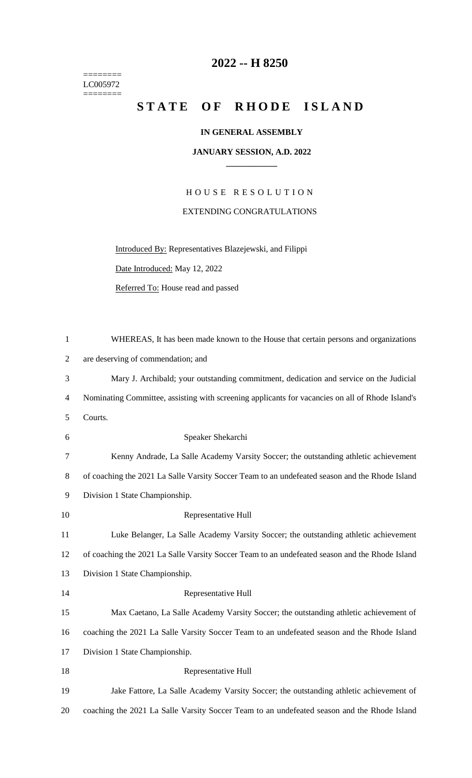======== LC005972  $=$ 

## **-- H 8250**

# STATE OF RHODE ISLAND

#### **IN GENERAL ASSEMBLY**

#### **JANUARY SESSION, A.D. 2022 \_\_\_\_\_\_\_\_\_\_\_\_**

H O U S E R E S O L U T I O N EXTENDING CONGRATULATIONS

Introduced By: Representatives Blazejewski, and Filippi

Date Introduced: May 12, 2022

Referred To: House read and passed

| $\mathbf{1}$   | WHEREAS, It has been made known to the House that certain persons and organizations              |
|----------------|--------------------------------------------------------------------------------------------------|
| $\overline{2}$ | are deserving of commendation; and                                                               |
| 3              | Mary J. Archibald; your outstanding commitment, dedication and service on the Judicial           |
| 4              | Nominating Committee, assisting with screening applicants for vacancies on all of Rhode Island's |
| 5              | Courts.                                                                                          |
| 6              | Speaker Shekarchi                                                                                |
| 7              | Kenny Andrade, La Salle Academy Varsity Soccer; the outstanding athletic achievement             |
| 8              | of coaching the 2021 La Salle Varsity Soccer Team to an undefeated season and the Rhode Island   |
| 9              | Division 1 State Championship.                                                                   |
| 10             | Representative Hull                                                                              |
| 11             | Luke Belanger, La Salle Academy Varsity Soccer; the outstanding athletic achievement             |
| 12             | of coaching the 2021 La Salle Varsity Soccer Team to an undefeated season and the Rhode Island   |
| 13             | Division 1 State Championship.                                                                   |
| 14             | Representative Hull                                                                              |
| 15             | Max Caetano, La Salle Academy Varsity Soccer; the outstanding athletic achievement of            |
| 16             | coaching the 2021 La Salle Varsity Soccer Team to an undefeated season and the Rhode Island      |
| 17             | Division 1 State Championship.                                                                   |
| 18             | Representative Hull                                                                              |
| 19             | Jake Fattore, La Salle Academy Varsity Soccer; the outstanding athletic achievement of           |
| 20             | coaching the 2021 La Salle Varsity Soccer Team to an undefeated season and the Rhode Island      |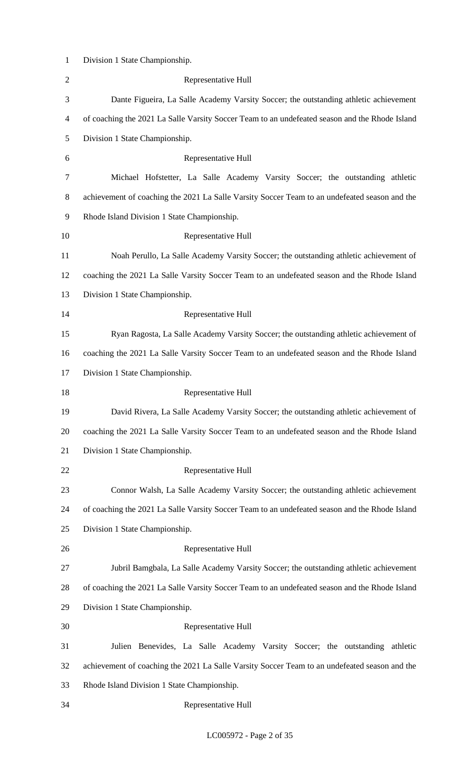| $\mathbf{1}$   | Division 1 State Championship.                                                                 |
|----------------|------------------------------------------------------------------------------------------------|
| $\overline{2}$ | Representative Hull                                                                            |
| 3              | Dante Figueira, La Salle Academy Varsity Soccer; the outstanding athletic achievement          |
| $\overline{4}$ | of coaching the 2021 La Salle Varsity Soccer Team to an undefeated season and the Rhode Island |
| 5              | Division 1 State Championship.                                                                 |
| 6              | Representative Hull                                                                            |
| 7              | Michael Hofstetter, La Salle Academy Varsity Soccer; the outstanding athletic                  |
| 8              | achievement of coaching the 2021 La Salle Varsity Soccer Team to an undefeated season and the  |
| 9              | Rhode Island Division 1 State Championship.                                                    |
| 10             | Representative Hull                                                                            |
| 11             | Noah Perullo, La Salle Academy Varsity Soccer; the outstanding athletic achievement of         |
| 12             | coaching the 2021 La Salle Varsity Soccer Team to an undefeated season and the Rhode Island    |
| 13             | Division 1 State Championship.                                                                 |
| 14             | Representative Hull                                                                            |
| 15             | Ryan Ragosta, La Salle Academy Varsity Soccer; the outstanding athletic achievement of         |
| 16             | coaching the 2021 La Salle Varsity Soccer Team to an undefeated season and the Rhode Island    |
| 17             | Division 1 State Championship.                                                                 |
| 18             | Representative Hull                                                                            |
| 19             | David Rivera, La Salle Academy Varsity Soccer; the outstanding athletic achievement of         |
| 20             | coaching the 2021 La Salle Varsity Soccer Team to an undefeated season and the Rhode Island    |
| 21             | Division 1 State Championship.                                                                 |
| 22             | Representative Hull                                                                            |
| 23             | Connor Walsh, La Salle Academy Varsity Soccer; the outstanding athletic achievement            |
| 24             | of coaching the 2021 La Salle Varsity Soccer Team to an undefeated season and the Rhode Island |
| 25             | Division 1 State Championship.                                                                 |
| 26             | Representative Hull                                                                            |
| 27             | Jubril Bamgbala, La Salle Academy Varsity Soccer; the outstanding athletic achievement         |
| 28             | of coaching the 2021 La Salle Varsity Soccer Team to an undefeated season and the Rhode Island |
| 29             | Division 1 State Championship.                                                                 |
| 30             | Representative Hull                                                                            |
| 31             | Julien Benevides, La Salle Academy Varsity Soccer; the outstanding athletic                    |
| 32             | achievement of coaching the 2021 La Salle Varsity Soccer Team to an undefeated season and the  |
| 33             | Rhode Island Division 1 State Championship.                                                    |
| 34             | Representative Hull                                                                            |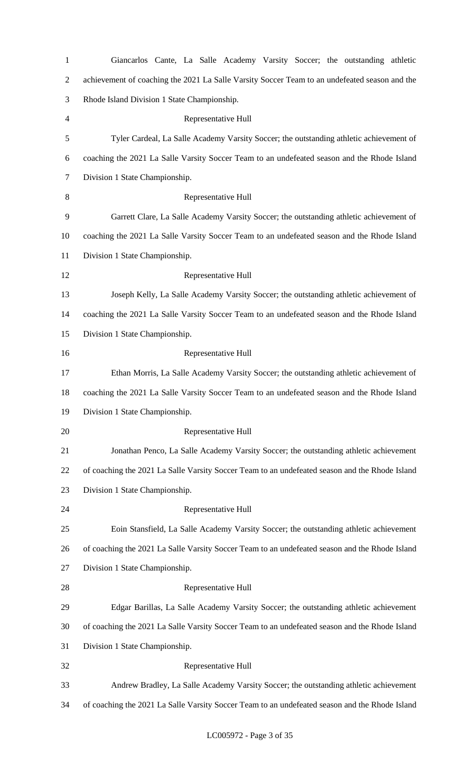| $\mathbf{1}$   | Giancarlos Cante, La Salle Academy Varsity Soccer; the outstanding athletic                    |
|----------------|------------------------------------------------------------------------------------------------|
| $\overline{2}$ | achievement of coaching the 2021 La Salle Varsity Soccer Team to an undefeated season and the  |
| 3              | Rhode Island Division 1 State Championship.                                                    |
| $\overline{4}$ | Representative Hull                                                                            |
| 5              | Tyler Cardeal, La Salle Academy Varsity Soccer; the outstanding athletic achievement of        |
| 6              | coaching the 2021 La Salle Varsity Soccer Team to an undefeated season and the Rhode Island    |
| $\overline{7}$ | Division 1 State Championship.                                                                 |
| 8              | Representative Hull                                                                            |
| 9              | Garrett Clare, La Salle Academy Varsity Soccer; the outstanding athletic achievement of        |
| 10             | coaching the 2021 La Salle Varsity Soccer Team to an undefeated season and the Rhode Island    |
| 11             | Division 1 State Championship.                                                                 |
| 12             | Representative Hull                                                                            |
| 13             | Joseph Kelly, La Salle Academy Varsity Soccer; the outstanding athletic achievement of         |
| 14             | coaching the 2021 La Salle Varsity Soccer Team to an undefeated season and the Rhode Island    |
| 15             | Division 1 State Championship.                                                                 |
| 16             | Representative Hull                                                                            |
| 17             | Ethan Morris, La Salle Academy Varsity Soccer; the outstanding athletic achievement of         |
| 18             | coaching the 2021 La Salle Varsity Soccer Team to an undefeated season and the Rhode Island    |
| 19             | Division 1 State Championship.                                                                 |
| 20             | Representative Hull                                                                            |
| 21             | Jonathan Penco, La Salle Academy Varsity Soccer; the outstanding athletic achievement          |
| 22             | of coaching the 2021 La Salle Varsity Soccer Team to an undefeated season and the Rhode Island |
| 23             | Division 1 State Championship.                                                                 |
| 24             | Representative Hull                                                                            |
| 25             | Eoin Stansfield, La Salle Academy Varsity Soccer; the outstanding athletic achievement         |
| 26             | of coaching the 2021 La Salle Varsity Soccer Team to an undefeated season and the Rhode Island |
| 27             | Division 1 State Championship.                                                                 |
| 28             | Representative Hull                                                                            |
| 29             | Edgar Barillas, La Salle Academy Varsity Soccer; the outstanding athletic achievement          |
| 30             | of coaching the 2021 La Salle Varsity Soccer Team to an undefeated season and the Rhode Island |
| 31             | Division 1 State Championship.                                                                 |
| 32             | Representative Hull                                                                            |
| 33             | Andrew Bradley, La Salle Academy Varsity Soccer; the outstanding athletic achievement          |
| 34             | of coaching the 2021 La Salle Varsity Soccer Team to an undefeated season and the Rhode Island |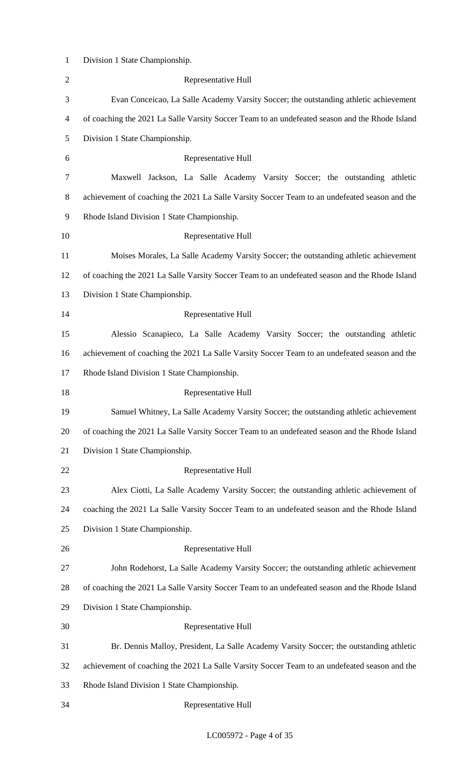| $\mathbf{1}$   | Division 1 State Championship.                                                                 |
|----------------|------------------------------------------------------------------------------------------------|
| $\mathbf{2}$   | Representative Hull                                                                            |
| 3              | Evan Conceicao, La Salle Academy Varsity Soccer; the outstanding athletic achievement          |
| $\overline{4}$ | of coaching the 2021 La Salle Varsity Soccer Team to an undefeated season and the Rhode Island |
| 5              | Division 1 State Championship.                                                                 |
| 6              | Representative Hull                                                                            |
| 7              | Maxwell Jackson, La Salle Academy Varsity Soccer; the outstanding athletic                     |
| 8              | achievement of coaching the 2021 La Salle Varsity Soccer Team to an undefeated season and the  |
| 9              | Rhode Island Division 1 State Championship.                                                    |
| 10             | Representative Hull                                                                            |
| 11             | Moises Morales, La Salle Academy Varsity Soccer; the outstanding athletic achievement          |
| 12             | of coaching the 2021 La Salle Varsity Soccer Team to an undefeated season and the Rhode Island |
| 13             | Division 1 State Championship.                                                                 |
| 14             | Representative Hull                                                                            |
| 15             | Alessio Scanapieco, La Salle Academy Varsity Soccer; the outstanding athletic                  |
| 16             | achievement of coaching the 2021 La Salle Varsity Soccer Team to an undefeated season and the  |
| 17             | Rhode Island Division 1 State Championship.                                                    |
| 18             | Representative Hull                                                                            |
| 19             | Samuel Whitney, La Salle Academy Varsity Soccer; the outstanding athletic achievement          |
| 20             | of coaching the 2021 La Salle Varsity Soccer Team to an undefeated season and the Rhode Island |
| 21             | Division 1 State Championship.                                                                 |
| 22             | Representative Hull                                                                            |
| 23             | Alex Ciotti, La Salle Academy Varsity Soccer; the outstanding athletic achievement of          |
| 24             | coaching the 2021 La Salle Varsity Soccer Team to an undefeated season and the Rhode Island    |
| 25             | Division 1 State Championship.                                                                 |
| 26             | Representative Hull                                                                            |
| 27             | John Rodehorst, La Salle Academy Varsity Soccer; the outstanding athletic achievement          |
| 28             | of coaching the 2021 La Salle Varsity Soccer Team to an undefeated season and the Rhode Island |
| 29             | Division 1 State Championship.                                                                 |
| 30             | Representative Hull                                                                            |
| 31             | Br. Dennis Malloy, President, La Salle Academy Varsity Soccer; the outstanding athletic        |
| 32             | achievement of coaching the 2021 La Salle Varsity Soccer Team to an undefeated season and the  |
| 33             |                                                                                                |
|                | Rhode Island Division 1 State Championship.                                                    |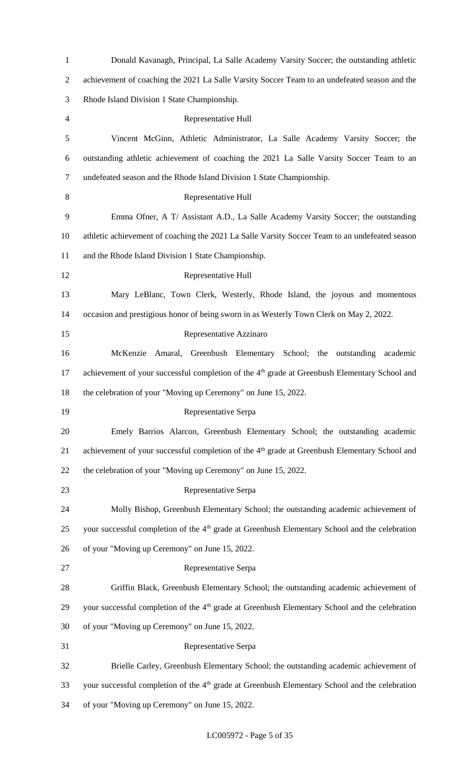| $\mathbf{1}$   | Donald Kavanagh, Principal, La Salle Academy Varsity Soccer; the outstanding athletic                      |
|----------------|------------------------------------------------------------------------------------------------------------|
| $\overline{c}$ | achievement of coaching the 2021 La Salle Varsity Soccer Team to an undefeated season and the              |
| 3              | Rhode Island Division 1 State Championship.                                                                |
| 4              | Representative Hull                                                                                        |
| 5              | Vincent McGinn, Athletic Administrator, La Salle Academy Varsity Soccer; the                               |
| 6              | outstanding athletic achievement of coaching the 2021 La Salle Varsity Soccer Team to an                   |
| 7              | undefeated season and the Rhode Island Division 1 State Championship.                                      |
| 8              | Representative Hull                                                                                        |
| 9              | Emma Ofner, A T/ Assistant A.D., La Salle Academy Varsity Soccer; the outstanding                          |
| 10             | athletic achievement of coaching the 2021 La Salle Varsity Soccer Team to an undefeated season             |
| 11             | and the Rhode Island Division 1 State Championship.                                                        |
| 12             | Representative Hull                                                                                        |
| 13             | Mary LeBlanc, Town Clerk, Westerly, Rhode Island, the joyous and momentous                                 |
| 14             | occasion and prestigious honor of being sworn in as Westerly Town Clerk on May 2, 2022.                    |
| 15             | Representative Azzinaro                                                                                    |
| 16             | McKenzie<br>Amaral, Greenbush Elementary School; the outstanding<br>academic                               |
| 17             | achievement of your successful completion of the 4 <sup>th</sup> grade at Greenbush Elementary School and  |
| 18             | the celebration of your "Moving up Ceremony" on June 15, 2022.                                             |
| 19             | Representative Serpa                                                                                       |
| 20             | Emely Barrios Alarcon, Greenbush Elementary School; the outstanding academic                               |
| 21             | achievement of your successful completion of the 4 <sup>th</sup> grade at Greenbush Elementary School and  |
| 22             | the celebration of your "Moving up Ceremony" on June 15, 2022.                                             |
| 23             | Representative Serpa                                                                                       |
| 24             | Molly Bishop, Greenbush Elementary School; the outstanding academic achievement of                         |
| 25             | your successful completion of the 4 <sup>th</sup> grade at Greenbush Elementary School and the celebration |
| 26             | of your "Moving up Ceremony" on June 15, 2022.                                                             |
| 27             | Representative Serpa                                                                                       |
| 28             | Griffin Black, Greenbush Elementary School; the outstanding academic achievement of                        |
| 29             | your successful completion of the 4 <sup>th</sup> grade at Greenbush Elementary School and the celebration |
| 30             | of your "Moving up Ceremony" on June 15, 2022.                                                             |
| 31             | Representative Serpa                                                                                       |
| 32             | Brielle Carley, Greenbush Elementary School; the outstanding academic achievement of                       |
| 33             | your successful completion of the 4 <sup>th</sup> grade at Greenbush Elementary School and the celebration |
| 34             | of your "Moving up Ceremony" on June 15, 2022.                                                             |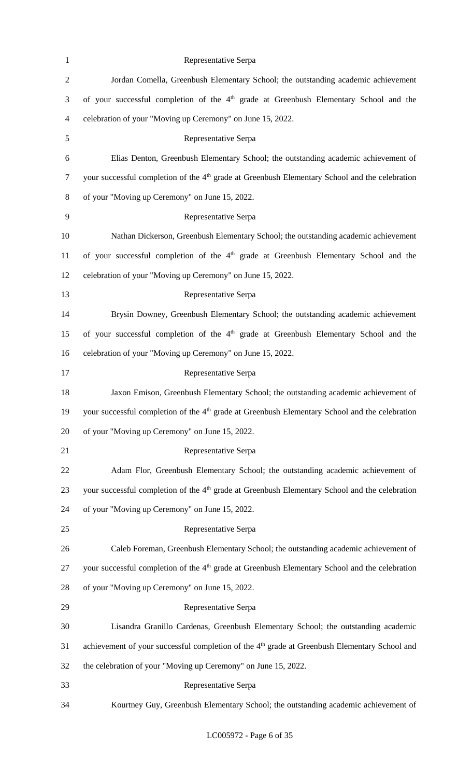| $\mathbf{1}$   | Representative Serpa                                                                                       |
|----------------|------------------------------------------------------------------------------------------------------------|
| $\mathbf{2}$   | Jordan Comella, Greenbush Elementary School; the outstanding academic achievement                          |
| 3              | of your successful completion of the 4 <sup>th</sup> grade at Greenbush Elementary School and the          |
| $\overline{4}$ | celebration of your "Moving up Ceremony" on June 15, 2022.                                                 |
| 5              | Representative Serpa                                                                                       |
| 6              | Elias Denton, Greenbush Elementary School; the outstanding academic achievement of                         |
| $\tau$         | your successful completion of the 4 <sup>th</sup> grade at Greenbush Elementary School and the celebration |
| $8\,$          | of your "Moving up Ceremony" on June 15, 2022.                                                             |
| 9              | Representative Serpa                                                                                       |
| 10             | Nathan Dickerson, Greenbush Elementary School; the outstanding academic achievement                        |
| 11             | of your successful completion of the 4 <sup>th</sup> grade at Greenbush Elementary School and the          |
| 12             | celebration of your "Moving up Ceremony" on June 15, 2022.                                                 |
| 13             | Representative Serpa                                                                                       |
| 14             | Brysin Downey, Greenbush Elementary School; the outstanding academic achievement                           |
| 15             | of your successful completion of the 4 <sup>th</sup> grade at Greenbush Elementary School and the          |
| 16             | celebration of your "Moving up Ceremony" on June 15, 2022.                                                 |
| 17             | Representative Serpa                                                                                       |
| 18             | Jaxon Emison, Greenbush Elementary School; the outstanding academic achievement of                         |
| 19             | your successful completion of the 4 <sup>th</sup> grade at Greenbush Elementary School and the celebration |
| 20             | of your "Moving up Ceremony" on June 15, 2022.                                                             |
| 21             | Representative Serpa                                                                                       |
| 22             | Adam Flor, Greenbush Elementary School; the outstanding academic achievement of                            |
| 23             | your successful completion of the 4 <sup>th</sup> grade at Greenbush Elementary School and the celebration |
| 24             | of your "Moving up Ceremony" on June 15, 2022.                                                             |
| 25             | Representative Serpa                                                                                       |
| 26             | Caleb Foreman, Greenbush Elementary School; the outstanding academic achievement of                        |
| 27             | your successful completion of the 4 <sup>th</sup> grade at Greenbush Elementary School and the celebration |
| 28             | of your "Moving up Ceremony" on June 15, 2022.                                                             |
| 29             | Representative Serpa                                                                                       |
| 30             | Lisandra Granillo Cardenas, Greenbush Elementary School; the outstanding academic                          |
| 31             | achievement of your successful completion of the 4 <sup>th</sup> grade at Greenbush Elementary School and  |
| 32             | the celebration of your "Moving up Ceremony" on June 15, 2022.                                             |
| 33             | Representative Serpa                                                                                       |
| 34             | Kourtney Guy, Greenbush Elementary School; the outstanding academic achievement of                         |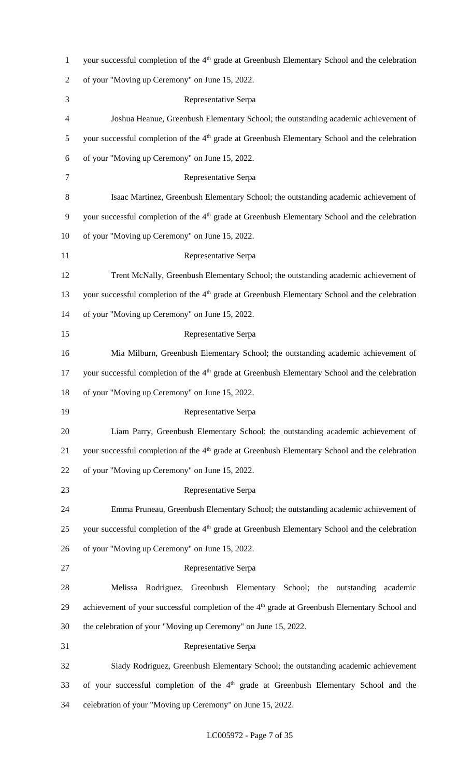| $\mathbf{1}$   | your successful completion of the 4 <sup>th</sup> grade at Greenbush Elementary School and the celebration |
|----------------|------------------------------------------------------------------------------------------------------------|
| $\overline{2}$ | of your "Moving up Ceremony" on June 15, 2022.                                                             |
| 3              | Representative Serpa                                                                                       |
| 4              | Joshua Heanue, Greenbush Elementary School; the outstanding academic achievement of                        |
| 5              | your successful completion of the 4 <sup>th</sup> grade at Greenbush Elementary School and the celebration |
| 6              | of your "Moving up Ceremony" on June 15, 2022.                                                             |
| 7              | Representative Serpa                                                                                       |
| $8\,$          | Isaac Martinez, Greenbush Elementary School; the outstanding academic achievement of                       |
| 9              | your successful completion of the 4 <sup>th</sup> grade at Greenbush Elementary School and the celebration |
| 10             | of your "Moving up Ceremony" on June 15, 2022.                                                             |
| 11             | Representative Serpa                                                                                       |
| 12             | Trent McNally, Greenbush Elementary School; the outstanding academic achievement of                        |
| 13             | your successful completion of the 4 <sup>th</sup> grade at Greenbush Elementary School and the celebration |
| 14             | of your "Moving up Ceremony" on June 15, 2022.                                                             |
| 15             | Representative Serpa                                                                                       |
| 16             | Mia Milburn, Greenbush Elementary School; the outstanding academic achievement of                          |
| 17             | your successful completion of the 4 <sup>th</sup> grade at Greenbush Elementary School and the celebration |
| 18             | of your "Moving up Ceremony" on June 15, 2022.                                                             |
| 19             | Representative Serpa                                                                                       |
| 20             | Liam Parry, Greenbush Elementary School; the outstanding academic achievement of                           |
| 21             | your successful completion of the 4 <sup>th</sup> grade at Greenbush Elementary School and the celebration |
| 22             | of your "Moving up Ceremony" on June 15, 2022.                                                             |
| 23             | Representative Serpa                                                                                       |
| 24             | Emma Pruneau, Greenbush Elementary School; the outstanding academic achievement of                         |
| 25             | your successful completion of the 4 <sup>th</sup> grade at Greenbush Elementary School and the celebration |
| 26             | of your "Moving up Ceremony" on June 15, 2022.                                                             |
| 27             | Representative Serpa                                                                                       |
| 28             | Melissa Rodriguez, Greenbush Elementary School; the outstanding academic                                   |
| 29             | achievement of your successful completion of the 4 <sup>th</sup> grade at Greenbush Elementary School and  |
| 30             | the celebration of your "Moving up Ceremony" on June 15, 2022.                                             |
| 31             | Representative Serpa                                                                                       |
| 32             | Siady Rodriguez, Greenbush Elementary School; the outstanding academic achievement                         |
| 33             | of your successful completion of the 4 <sup>th</sup> grade at Greenbush Elementary School and the          |
| 34             | celebration of your "Moving up Ceremony" on June 15, 2022.                                                 |

### LC005972 - Page 7 of 35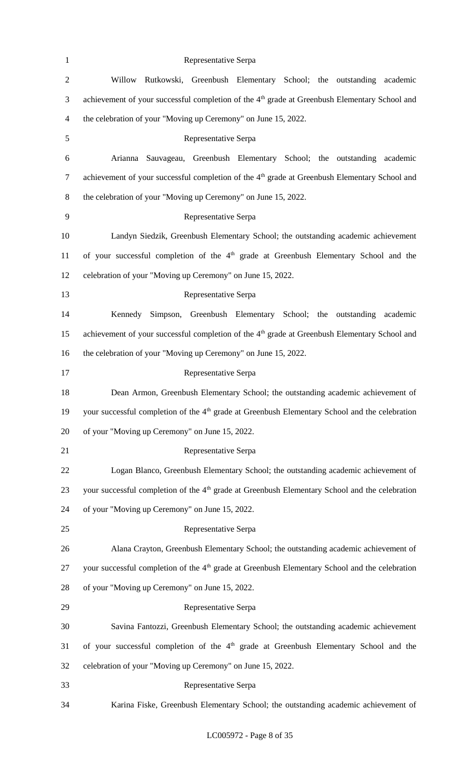| $\mathbf{1}$             | Representative Serpa                                                                                       |
|--------------------------|------------------------------------------------------------------------------------------------------------|
| $\mathbf{2}$             | Willow Rutkowski, Greenbush Elementary School; the outstanding academic                                    |
| 3                        | achievement of your successful completion of the 4 <sup>th</sup> grade at Greenbush Elementary School and  |
| $\overline{\mathcal{A}}$ | the celebration of your "Moving up Ceremony" on June 15, 2022.                                             |
| 5                        | Representative Serpa                                                                                       |
| 6                        | Arianna Sauvageau, Greenbush Elementary School; the outstanding academic                                   |
| $\tau$                   | achievement of your successful completion of the 4 <sup>th</sup> grade at Greenbush Elementary School and  |
| $8\,$                    | the celebration of your "Moving up Ceremony" on June 15, 2022.                                             |
| 9                        | Representative Serpa                                                                                       |
| 10                       | Landyn Siedzik, Greenbush Elementary School; the outstanding academic achievement                          |
| 11                       | of your successful completion of the 4 <sup>th</sup> grade at Greenbush Elementary School and the          |
| 12                       | celebration of your "Moving up Ceremony" on June 15, 2022.                                                 |
| 13                       | Representative Serpa                                                                                       |
| 14                       | Simpson, Greenbush Elementary School; the outstanding<br>Kennedy<br>academic                               |
| 15                       | achievement of your successful completion of the 4 <sup>th</sup> grade at Greenbush Elementary School and  |
| 16                       | the celebration of your "Moving up Ceremony" on June 15, 2022.                                             |
| 17                       | Representative Serpa                                                                                       |
| 18                       | Dean Armon, Greenbush Elementary School; the outstanding academic achievement of                           |
| 19                       | your successful completion of the 4 <sup>th</sup> grade at Greenbush Elementary School and the celebration |
| 20                       | of your "Moving up Ceremony" on June 15, 2022.                                                             |
| 21                       | Representative Serpa                                                                                       |
| 22                       | Logan Blanco, Greenbush Elementary School; the outstanding academic achievement of                         |
| 23                       | your successful completion of the 4 <sup>th</sup> grade at Greenbush Elementary School and the celebration |
| 24                       | of your "Moving up Ceremony" on June 15, 2022.                                                             |
| 25                       | Representative Serpa                                                                                       |
| 26                       | Alana Crayton, Greenbush Elementary School; the outstanding academic achievement of                        |
| 27                       | your successful completion of the 4 <sup>th</sup> grade at Greenbush Elementary School and the celebration |
| 28                       | of your "Moving up Ceremony" on June 15, 2022.                                                             |
| 29                       | Representative Serpa                                                                                       |
| 30                       | Savina Fantozzi, Greenbush Elementary School; the outstanding academic achievement                         |
| 31                       | of your successful completion of the 4 <sup>th</sup> grade at Greenbush Elementary School and the          |
| 32                       | celebration of your "Moving up Ceremony" on June 15, 2022.                                                 |
| 33                       | Representative Serpa                                                                                       |
| 34                       | Karina Fiske, Greenbush Elementary School; the outstanding academic achievement of                         |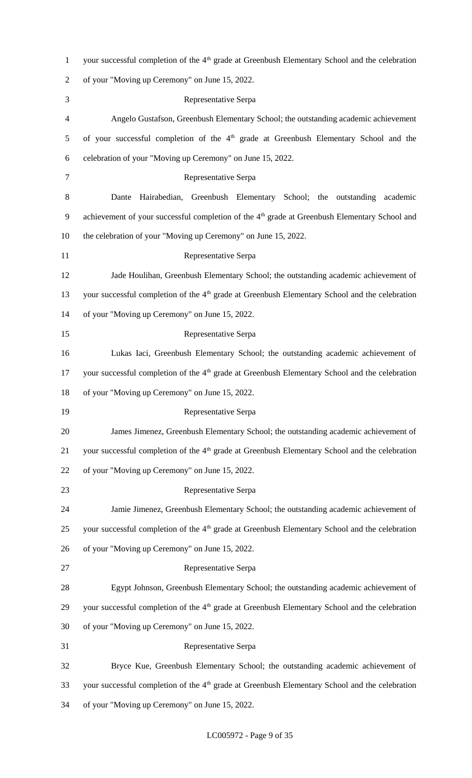| $\mathbf{1}$   | your successful completion of the 4 <sup>th</sup> grade at Greenbush Elementary School and the celebration |
|----------------|------------------------------------------------------------------------------------------------------------|
| $\overline{2}$ | of your "Moving up Ceremony" on June 15, 2022.                                                             |
| 3              | Representative Serpa                                                                                       |
| 4              | Angelo Gustafson, Greenbush Elementary School; the outstanding academic achievement                        |
| 5              | of your successful completion of the 4 <sup>th</sup> grade at Greenbush Elementary School and the          |
| 6              | celebration of your "Moving up Ceremony" on June 15, 2022.                                                 |
| $\tau$         | Representative Serpa                                                                                       |
| $8\,$          | Hairabedian, Greenbush Elementary School; the outstanding<br>Dante<br>academic                             |
| 9              | achievement of your successful completion of the 4 <sup>th</sup> grade at Greenbush Elementary School and  |
| 10             | the celebration of your "Moving up Ceremony" on June 15, 2022.                                             |
| 11             | Representative Serpa                                                                                       |
| 12             | Jade Houlihan, Greenbush Elementary School; the outstanding academic achievement of                        |
| 13             | your successful completion of the 4 <sup>th</sup> grade at Greenbush Elementary School and the celebration |
| 14             | of your "Moving up Ceremony" on June 15, 2022.                                                             |
| 15             | Representative Serpa                                                                                       |
| 16             | Lukas Iaci, Greenbush Elementary School; the outstanding academic achievement of                           |
| 17             | your successful completion of the 4 <sup>th</sup> grade at Greenbush Elementary School and the celebration |
| 18             | of your "Moving up Ceremony" on June 15, 2022.                                                             |
| 19             | Representative Serpa                                                                                       |
| 20             | James Jimenez, Greenbush Elementary School; the outstanding academic achievement of                        |
| 21             | your successful completion of the 4 <sup>th</sup> grade at Greenbush Elementary School and the celebration |
| 22             | of your "Moving up Ceremony" on June 15, 2022.                                                             |
| 23             | Representative Serpa                                                                                       |
| 24             | Jamie Jimenez, Greenbush Elementary School; the outstanding academic achievement of                        |
| 25             | your successful completion of the 4 <sup>th</sup> grade at Greenbush Elementary School and the celebration |
| 26             | of your "Moving up Ceremony" on June 15, 2022.                                                             |
| 27             | Representative Serpa                                                                                       |
| 28             | Egypt Johnson, Greenbush Elementary School; the outstanding academic achievement of                        |
| 29             | your successful completion of the 4 <sup>th</sup> grade at Greenbush Elementary School and the celebration |
| 30             | of your "Moving up Ceremony" on June 15, 2022.                                                             |
| 31             | Representative Serpa                                                                                       |
| 32             | Bryce Kue, Greenbush Elementary School; the outstanding academic achievement of                            |
| 33             | your successful completion of the 4 <sup>th</sup> grade at Greenbush Elementary School and the celebration |
| 34             | of your "Moving up Ceremony" on June 15, 2022.                                                             |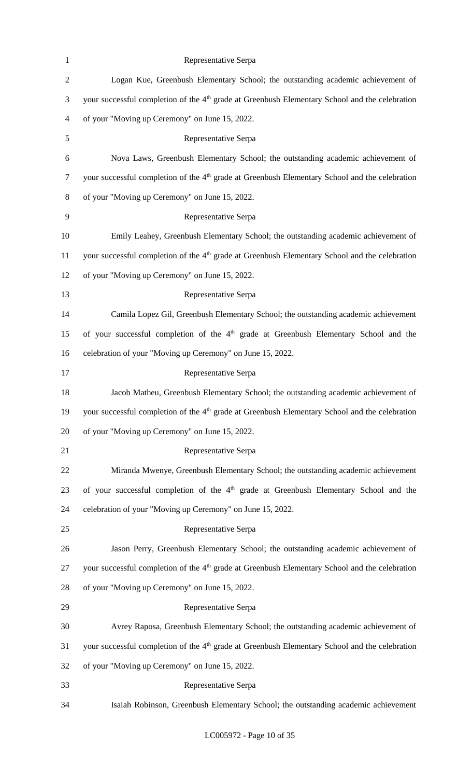| $\mathbf{1}$   | Representative Serpa                                                                                       |
|----------------|------------------------------------------------------------------------------------------------------------|
| $\sqrt{2}$     | Logan Kue, Greenbush Elementary School; the outstanding academic achievement of                            |
| $\mathfrak{Z}$ | your successful completion of the 4 <sup>th</sup> grade at Greenbush Elementary School and the celebration |
| 4              | of your "Moving up Ceremony" on June 15, 2022.                                                             |
| $\mathfrak{S}$ | Representative Serpa                                                                                       |
| 6              | Nova Laws, Greenbush Elementary School; the outstanding academic achievement of                            |
| $\tau$         | your successful completion of the 4 <sup>th</sup> grade at Greenbush Elementary School and the celebration |
| $8\,$          | of your "Moving up Ceremony" on June 15, 2022.                                                             |
| 9              | Representative Serpa                                                                                       |
| 10             | Emily Leahey, Greenbush Elementary School; the outstanding academic achievement of                         |
| 11             | your successful completion of the 4 <sup>th</sup> grade at Greenbush Elementary School and the celebration |
| 12             | of your "Moving up Ceremony" on June 15, 2022.                                                             |
| 13             | Representative Serpa                                                                                       |
| 14             | Camila Lopez Gil, Greenbush Elementary School; the outstanding academic achievement                        |
| 15             | of your successful completion of the 4 <sup>th</sup> grade at Greenbush Elementary School and the          |
| 16             | celebration of your "Moving up Ceremony" on June 15, 2022.                                                 |
| 17             | Representative Serpa                                                                                       |
| 18             | Jacob Matheu, Greenbush Elementary School; the outstanding academic achievement of                         |
| 19             | your successful completion of the 4 <sup>th</sup> grade at Greenbush Elementary School and the celebration |
| 20             | of your "Moving up Ceremony" on June 15, 2022.                                                             |
| 21             | Representative Serpa                                                                                       |
| 22             | Miranda Mwenye, Greenbush Elementary School; the outstanding academic achievement                          |
| 23             | of your successful completion of the 4 <sup>th</sup> grade at Greenbush Elementary School and the          |
| 24             | celebration of your "Moving up Ceremony" on June 15, 2022.                                                 |
| 25             | Representative Serpa                                                                                       |
| 26             | Jason Perry, Greenbush Elementary School; the outstanding academic achievement of                          |
| 27             | your successful completion of the 4 <sup>th</sup> grade at Greenbush Elementary School and the celebration |
| 28             | of your "Moving up Ceremony" on June 15, 2022.                                                             |
| 29             | Representative Serpa                                                                                       |
| 30             | Avrey Raposa, Greenbush Elementary School; the outstanding academic achievement of                         |
| 31             | your successful completion of the 4 <sup>th</sup> grade at Greenbush Elementary School and the celebration |
| 32             | of your "Moving up Ceremony" on June 15, 2022.                                                             |
| 33             | Representative Serpa                                                                                       |
| 34             | Isaiah Robinson, Greenbush Elementary School; the outstanding academic achievement                         |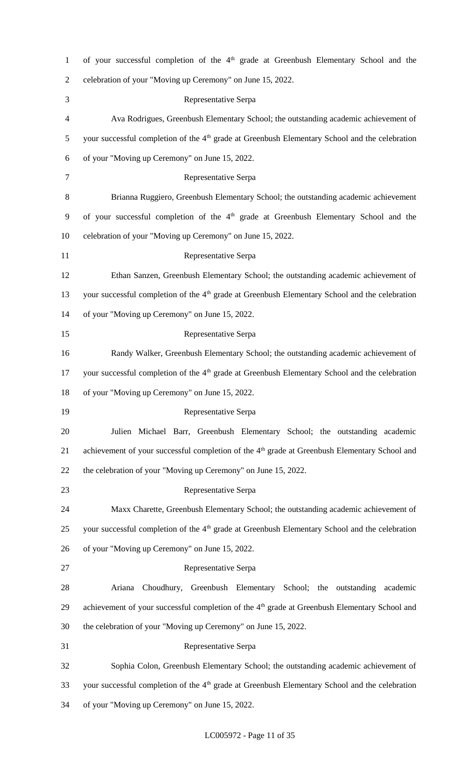| $\mathbf{1}$   | of your successful completion of the 4 <sup>th</sup> grade at Greenbush Elementary School and the          |
|----------------|------------------------------------------------------------------------------------------------------------|
| $\overline{2}$ | celebration of your "Moving up Ceremony" on June 15, 2022.                                                 |
| 3              | Representative Serpa                                                                                       |
| 4              | Ava Rodrigues, Greenbush Elementary School; the outstanding academic achievement of                        |
| 5              | your successful completion of the 4 <sup>th</sup> grade at Greenbush Elementary School and the celebration |
| 6              | of your "Moving up Ceremony" on June 15, 2022.                                                             |
| $\tau$         | Representative Serpa                                                                                       |
| $8\,$          | Brianna Ruggiero, Greenbush Elementary School; the outstanding academic achievement                        |
| 9              | of your successful completion of the 4 <sup>th</sup> grade at Greenbush Elementary School and the          |
| 10             | celebration of your "Moving up Ceremony" on June 15, 2022.                                                 |
| 11             | Representative Serpa                                                                                       |
| 12             | Ethan Sanzen, Greenbush Elementary School; the outstanding academic achievement of                         |
| 13             | your successful completion of the 4 <sup>th</sup> grade at Greenbush Elementary School and the celebration |
| 14             | of your "Moving up Ceremony" on June 15, 2022.                                                             |
| 15             | Representative Serpa                                                                                       |
| 16             | Randy Walker, Greenbush Elementary School; the outstanding academic achievement of                         |
| 17             | your successful completion of the 4 <sup>th</sup> grade at Greenbush Elementary School and the celebration |
| 18             | of your "Moving up Ceremony" on June 15, 2022.                                                             |
| 19             | Representative Serpa                                                                                       |
| 20             | Julien Michael Barr, Greenbush Elementary School; the outstanding academic                                 |
| 21             | achievement of your successful completion of the 4 <sup>th</sup> grade at Greenbush Elementary School and  |
| 22             | the celebration of your "Moving up Ceremony" on June 15, 2022.                                             |
| 23             | Representative Serpa                                                                                       |
| 24             | Maxx Charette, Greenbush Elementary School; the outstanding academic achievement of                        |
| 25             | your successful completion of the 4 <sup>th</sup> grade at Greenbush Elementary School and the celebration |
| 26             | of your "Moving up Ceremony" on June 15, 2022.                                                             |
| 27             | Representative Serpa                                                                                       |
| 28             | Choudhury, Greenbush Elementary School; the outstanding<br>Ariana<br>academic                              |
| 29             | achievement of your successful completion of the 4 <sup>th</sup> grade at Greenbush Elementary School and  |
| 30             | the celebration of your "Moving up Ceremony" on June 15, 2022.                                             |
| 31             | Representative Serpa                                                                                       |
| 32             | Sophia Colon, Greenbush Elementary School; the outstanding academic achievement of                         |
| 33             | your successful completion of the 4 <sup>th</sup> grade at Greenbush Elementary School and the celebration |
| 34             | of your "Moving up Ceremony" on June 15, 2022.                                                             |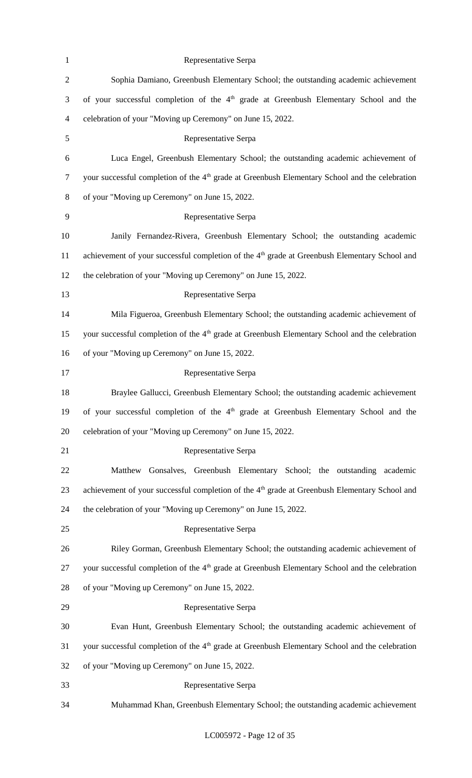| $\mathbf{1}$   | Representative Serpa                                                                                       |
|----------------|------------------------------------------------------------------------------------------------------------|
| $\mathbf{2}$   | Sophia Damiano, Greenbush Elementary School; the outstanding academic achievement                          |
| 3              | of your successful completion of the 4 <sup>th</sup> grade at Greenbush Elementary School and the          |
| $\overline{4}$ | celebration of your "Moving up Ceremony" on June 15, 2022.                                                 |
| 5              | Representative Serpa                                                                                       |
| 6              | Luca Engel, Greenbush Elementary School; the outstanding academic achievement of                           |
| $\tau$         | your successful completion of the 4 <sup>th</sup> grade at Greenbush Elementary School and the celebration |
| $8\,$          | of your "Moving up Ceremony" on June 15, 2022.                                                             |
| $\mathbf{9}$   | Representative Serpa                                                                                       |
| 10             | Janily Fernandez-Rivera, Greenbush Elementary School; the outstanding academic                             |
| 11             | achievement of your successful completion of the 4 <sup>th</sup> grade at Greenbush Elementary School and  |
| 12             | the celebration of your "Moving up Ceremony" on June 15, 2022.                                             |
| 13             | Representative Serpa                                                                                       |
| 14             | Mila Figueroa, Greenbush Elementary School; the outstanding academic achievement of                        |
| 15             | your successful completion of the 4 <sup>th</sup> grade at Greenbush Elementary School and the celebration |
| 16             | of your "Moving up Ceremony" on June 15, 2022.                                                             |
| 17             | Representative Serpa                                                                                       |
| 18             | Braylee Gallucci, Greenbush Elementary School; the outstanding academic achievement                        |
| 19             | of your successful completion of the 4 <sup>th</sup> grade at Greenbush Elementary School and the          |
| 20             | celebration of your "Moving up Ceremony" on June 15, 2022.                                                 |
| 21             | Representative Serpa                                                                                       |
| 22             | Gonsalves, Greenbush Elementary School; the outstanding<br>Matthew<br>academic                             |
| 23             | achievement of your successful completion of the 4 <sup>th</sup> grade at Greenbush Elementary School and  |
| 24             | the celebration of your "Moving up Ceremony" on June 15, 2022.                                             |
| 25             | Representative Serpa                                                                                       |
| 26             | Riley Gorman, Greenbush Elementary School; the outstanding academic achievement of                         |
| 27             | your successful completion of the 4 <sup>th</sup> grade at Greenbush Elementary School and the celebration |
| 28             | of your "Moving up Ceremony" on June 15, 2022.                                                             |
| 29             | Representative Serpa                                                                                       |
| 30             | Evan Hunt, Greenbush Elementary School; the outstanding academic achievement of                            |
| 31             | your successful completion of the 4 <sup>th</sup> grade at Greenbush Elementary School and the celebration |
| 32             | of your "Moving up Ceremony" on June 15, 2022.                                                             |
| 33             | Representative Serpa                                                                                       |
| 34             | Muhammad Khan, Greenbush Elementary School; the outstanding academic achievement                           |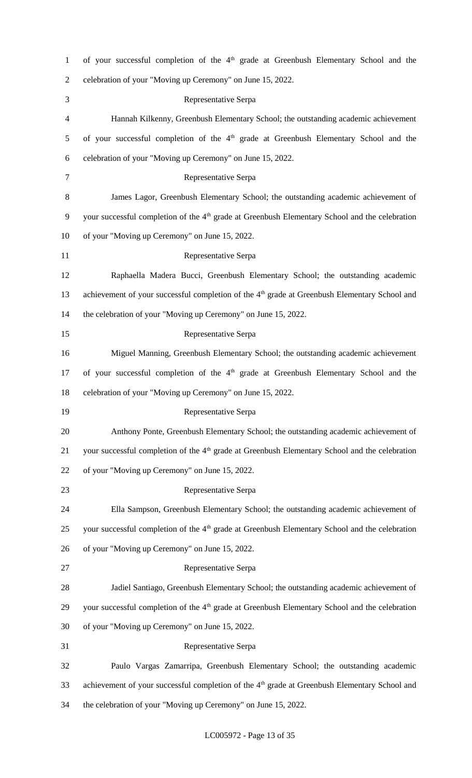| $\mathbf{1}$   | of your successful completion of the $4th$ grade at Greenbush Elementary School and the                    |
|----------------|------------------------------------------------------------------------------------------------------------|
| $\overline{c}$ | celebration of your "Moving up Ceremony" on June 15, 2022.                                                 |
| 3              | Representative Serpa                                                                                       |
| 4              | Hannah Kilkenny, Greenbush Elementary School; the outstanding academic achievement                         |
| 5              | of your successful completion of the 4 <sup>th</sup> grade at Greenbush Elementary School and the          |
| 6              | celebration of your "Moving up Ceremony" on June 15, 2022.                                                 |
| 7              | Representative Serpa                                                                                       |
| 8              | James Lagor, Greenbush Elementary School; the outstanding academic achievement of                          |
| 9              | your successful completion of the 4 <sup>th</sup> grade at Greenbush Elementary School and the celebration |
| 10             | of your "Moving up Ceremony" on June 15, 2022.                                                             |
| 11             | Representative Serpa                                                                                       |
| 12             | Raphaella Madera Bucci, Greenbush Elementary School; the outstanding academic                              |
| 13             | achievement of your successful completion of the 4 <sup>th</sup> grade at Greenbush Elementary School and  |
| 14             | the celebration of your "Moving up Ceremony" on June 15, 2022.                                             |
| 15             | Representative Serpa                                                                                       |
| 16             | Miguel Manning, Greenbush Elementary School; the outstanding academic achievement                          |
| 17             | of your successful completion of the 4 <sup>th</sup> grade at Greenbush Elementary School and the          |
| 18             | celebration of your "Moving up Ceremony" on June 15, 2022.                                                 |
| 19             | Representative Serpa                                                                                       |
| 20             | Anthony Ponte, Greenbush Elementary School; the outstanding academic achievement of                        |
| 21             | your successful completion of the 4 <sup>th</sup> grade at Greenbush Elementary School and the celebration |
| 22             | of your "Moving up Ceremony" on June 15, 2022.                                                             |
| 23             | Representative Serpa                                                                                       |
| 24             | Ella Sampson, Greenbush Elementary School; the outstanding academic achievement of                         |
| 25             | your successful completion of the 4 <sup>th</sup> grade at Greenbush Elementary School and the celebration |
| 26             | of your "Moving up Ceremony" on June 15, 2022.                                                             |
| 27             | Representative Serpa                                                                                       |
| 28             | Jadiel Santiago, Greenbush Elementary School; the outstanding academic achievement of                      |
| 29             | your successful completion of the 4 <sup>th</sup> grade at Greenbush Elementary School and the celebration |
| 30             | of your "Moving up Ceremony" on June 15, 2022.                                                             |
| 31             | Representative Serpa                                                                                       |
| 32             | Paulo Vargas Zamarripa, Greenbush Elementary School; the outstanding academic                              |
|                |                                                                                                            |
| 33             | achievement of your successful completion of the 4 <sup>th</sup> grade at Greenbush Elementary School and  |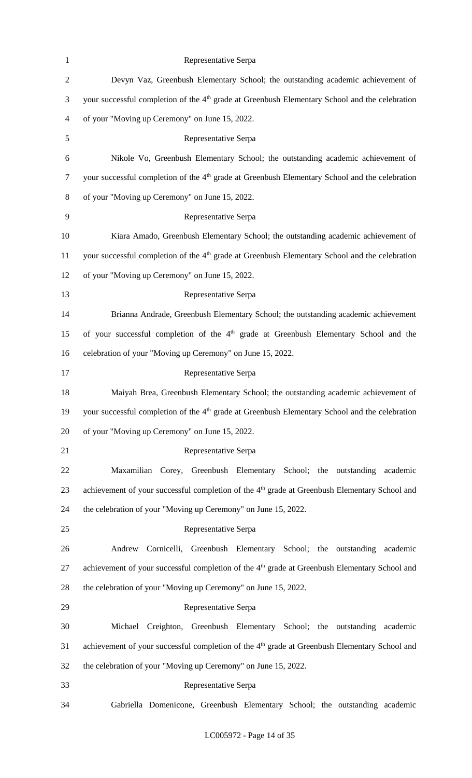| $\mathbf{1}$   | Representative Serpa                                                                                       |
|----------------|------------------------------------------------------------------------------------------------------------|
| $\mathbf{2}$   | Devyn Vaz, Greenbush Elementary School; the outstanding academic achievement of                            |
| 3              | your successful completion of the 4 <sup>th</sup> grade at Greenbush Elementary School and the celebration |
| $\overline{4}$ | of your "Moving up Ceremony" on June 15, 2022.                                                             |
| 5              | Representative Serpa                                                                                       |
| 6              | Nikole Vo, Greenbush Elementary School; the outstanding academic achievement of                            |
| $\tau$         | your successful completion of the 4 <sup>th</sup> grade at Greenbush Elementary School and the celebration |
| 8              | of your "Moving up Ceremony" on June 15, 2022.                                                             |
| 9              | Representative Serpa                                                                                       |
| 10             | Kiara Amado, Greenbush Elementary School; the outstanding academic achievement of                          |
| 11             | your successful completion of the 4 <sup>th</sup> grade at Greenbush Elementary School and the celebration |
| 12             | of your "Moving up Ceremony" on June 15, 2022.                                                             |
| 13             | Representative Serpa                                                                                       |
| 14             | Brianna Andrade, Greenbush Elementary School; the outstanding academic achievement                         |
| 15             | of your successful completion of the 4 <sup>th</sup> grade at Greenbush Elementary School and the          |
| 16             | celebration of your "Moving up Ceremony" on June 15, 2022.                                                 |
| 17             | Representative Serpa                                                                                       |
| 18             | Maiyah Brea, Greenbush Elementary School; the outstanding academic achievement of                          |
| 19             | your successful completion of the 4 <sup>th</sup> grade at Greenbush Elementary School and the celebration |
| 20             | of your "Moving up Ceremony" on June 15, 2022.                                                             |
| 21             | Representative Serpa                                                                                       |
| 22             | Maxamilian Corey, Greenbush Elementary School; the outstanding<br>academic                                 |
| 23             | achievement of your successful completion of the 4 <sup>th</sup> grade at Greenbush Elementary School and  |
| 24             | the celebration of your "Moving up Ceremony" on June 15, 2022.                                             |
| 25             | Representative Serpa                                                                                       |
| 26             | Cornicelli, Greenbush Elementary School; the outstanding<br>Andrew<br>academic                             |
| 27             | achievement of your successful completion of the 4 <sup>th</sup> grade at Greenbush Elementary School and  |
| 28             | the celebration of your "Moving up Ceremony" on June 15, 2022.                                             |
| 29             | Representative Serpa                                                                                       |
| 30             | Michael Creighton, Greenbush Elementary School; the outstanding academic                                   |
| 31             | achievement of your successful completion of the 4 <sup>th</sup> grade at Greenbush Elementary School and  |
| 32             | the celebration of your "Moving up Ceremony" on June 15, 2022.                                             |
| 33             | Representative Serpa                                                                                       |
| 34             | Gabriella Domenicone, Greenbush Elementary School; the outstanding academic                                |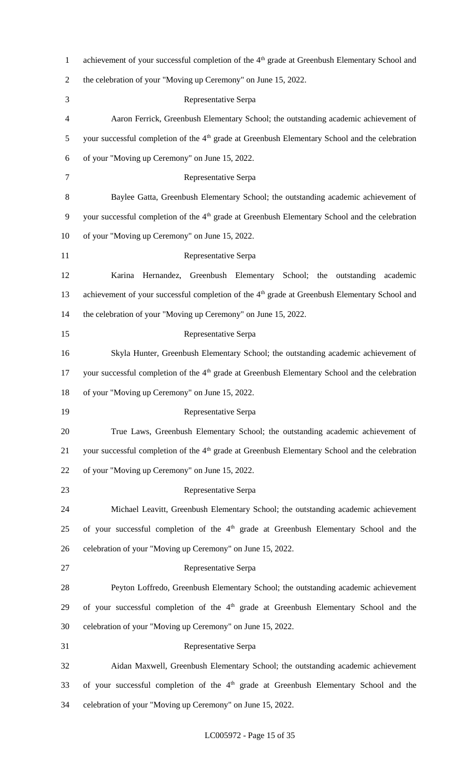| $\mathbf{1}$   | achievement of your successful completion of the 4 <sup>th</sup> grade at Greenbush Elementary School and  |
|----------------|------------------------------------------------------------------------------------------------------------|
| $\overline{2}$ | the celebration of your "Moving up Ceremony" on June 15, 2022.                                             |
| 3              | Representative Serpa                                                                                       |
| 4              | Aaron Ferrick, Greenbush Elementary School; the outstanding academic achievement of                        |
| 5              | your successful completion of the 4 <sup>th</sup> grade at Greenbush Elementary School and the celebration |
| 6              | of your "Moving up Ceremony" on June 15, 2022.                                                             |
| 7              | Representative Serpa                                                                                       |
| $8\,$          | Baylee Gatta, Greenbush Elementary School; the outstanding academic achievement of                         |
| 9              | your successful completion of the 4 <sup>th</sup> grade at Greenbush Elementary School and the celebration |
| 10             | of your "Moving up Ceremony" on June 15, 2022.                                                             |
| 11             | Representative Serpa                                                                                       |
| 12             | Hernandez, Greenbush Elementary School; the outstanding<br>Karina<br>academic                              |
| 13             | achievement of your successful completion of the 4 <sup>th</sup> grade at Greenbush Elementary School and  |
| 14             | the celebration of your "Moving up Ceremony" on June 15, 2022.                                             |
| 15             | Representative Serpa                                                                                       |
| 16             | Skyla Hunter, Greenbush Elementary School; the outstanding academic achievement of                         |
| 17             | your successful completion of the 4 <sup>th</sup> grade at Greenbush Elementary School and the celebration |
| 18             | of your "Moving up Ceremony" on June 15, 2022.                                                             |
| 19             | Representative Serpa                                                                                       |
| 20             | True Laws, Greenbush Elementary School; the outstanding academic achievement of                            |
| 21             | your successful completion of the 4 <sup>th</sup> grade at Greenbush Elementary School and the celebration |
| 22             | of your "Moving up Ceremony" on June 15, 2022.                                                             |
| 23             | Representative Serpa                                                                                       |
| 24             | Michael Leavitt, Greenbush Elementary School; the outstanding academic achievement                         |
| 25             | of your successful completion of the 4 <sup>th</sup> grade at Greenbush Elementary School and the          |
| 26             | celebration of your "Moving up Ceremony" on June 15, 2022.                                                 |
| 27             | Representative Serpa                                                                                       |
| 28             | Peyton Loffredo, Greenbush Elementary School; the outstanding academic achievement                         |
| 29             | of your successful completion of the 4 <sup>th</sup> grade at Greenbush Elementary School and the          |
| 30             | celebration of your "Moving up Ceremony" on June 15, 2022.                                                 |
| 31             | Representative Serpa                                                                                       |
| 32             | Aidan Maxwell, Greenbush Elementary School; the outstanding academic achievement                           |
| 33             | of your successful completion of the 4 <sup>th</sup> grade at Greenbush Elementary School and the          |
| 34             | celebration of your "Moving up Ceremony" on June 15, 2022.                                                 |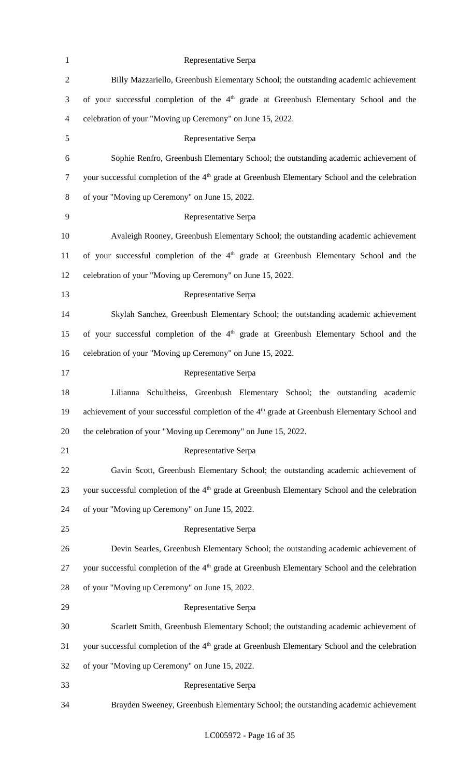| $\mathbf{1}$             | Representative Serpa                                                                                       |
|--------------------------|------------------------------------------------------------------------------------------------------------|
| $\overline{c}$           | Billy Mazzariello, Greenbush Elementary School; the outstanding academic achievement                       |
| 3                        | of your successful completion of the 4 <sup>th</sup> grade at Greenbush Elementary School and the          |
| $\overline{\mathcal{A}}$ | celebration of your "Moving up Ceremony" on June 15, 2022.                                                 |
| 5                        | Representative Serpa                                                                                       |
| 6                        | Sophie Renfro, Greenbush Elementary School; the outstanding academic achievement of                        |
| $\tau$                   | your successful completion of the $4th$ grade at Greenbush Elementary School and the celebration           |
| 8                        | of your "Moving up Ceremony" on June 15, 2022.                                                             |
| 9                        | Representative Serpa                                                                                       |
| 10                       | Avaleigh Rooney, Greenbush Elementary School; the outstanding academic achievement                         |
| 11                       | of your successful completion of the 4 <sup>th</sup> grade at Greenbush Elementary School and the          |
| 12                       | celebration of your "Moving up Ceremony" on June 15, 2022.                                                 |
| 13                       | Representative Serpa                                                                                       |
| 14                       | Skylah Sanchez, Greenbush Elementary School; the outstanding academic achievement                          |
| 15                       | of your successful completion of the 4 <sup>th</sup> grade at Greenbush Elementary School and the          |
| 16                       | celebration of your "Moving up Ceremony" on June 15, 2022.                                                 |
| 17                       | Representative Serpa                                                                                       |
| 18                       | Lilianna Schultheiss, Greenbush Elementary School; the outstanding<br>academic                             |
| 19                       | achievement of your successful completion of the 4 <sup>th</sup> grade at Greenbush Elementary School and  |
| 20                       | the celebration of your "Moving up Ceremony" on June 15, 2022.                                             |
| 21                       | Representative Serpa                                                                                       |
| 22                       | Gavin Scott, Greenbush Elementary School; the outstanding academic achievement of                          |
| 23                       | your successful completion of the 4 <sup>th</sup> grade at Greenbush Elementary School and the celebration |
| 24                       | of your "Moving up Ceremony" on June 15, 2022.                                                             |
| 25                       | Representative Serpa                                                                                       |
| 26                       | Devin Searles, Greenbush Elementary School; the outstanding academic achievement of                        |
| 27                       | your successful completion of the 4 <sup>th</sup> grade at Greenbush Elementary School and the celebration |
| 28                       | of your "Moving up Ceremony" on June 15, 2022.                                                             |
| 29                       | Representative Serpa                                                                                       |
| 30                       | Scarlett Smith, Greenbush Elementary School; the outstanding academic achievement of                       |
| 31                       | your successful completion of the 4 <sup>th</sup> grade at Greenbush Elementary School and the celebration |
| 32                       | of your "Moving up Ceremony" on June 15, 2022.                                                             |
| 33                       | Representative Serpa                                                                                       |
| 34                       | Brayden Sweeney, Greenbush Elementary School; the outstanding academic achievement                         |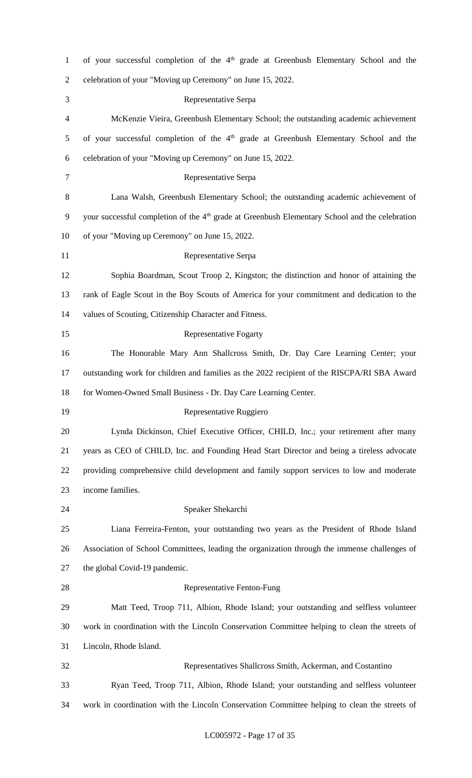| $\mathbf{1}$   | of your successful completion of the 4 <sup>th</sup> grade at Greenbush Elementary School and the          |
|----------------|------------------------------------------------------------------------------------------------------------|
| $\overline{2}$ | celebration of your "Moving up Ceremony" on June 15, 2022.                                                 |
| 3              | Representative Serpa                                                                                       |
| 4              | McKenzie Vieira, Greenbush Elementary School; the outstanding academic achievement                         |
| 5              | of your successful completion of the $4th$ grade at Greenbush Elementary School and the                    |
| 6              | celebration of your "Moving up Ceremony" on June 15, 2022.                                                 |
| 7              | Representative Serpa                                                                                       |
| 8              | Lana Walsh, Greenbush Elementary School; the outstanding academic achievement of                           |
| 9              | your successful completion of the 4 <sup>th</sup> grade at Greenbush Elementary School and the celebration |
| 10             | of your "Moving up Ceremony" on June 15, 2022.                                                             |
| 11             | Representative Serpa                                                                                       |
| 12             | Sophia Boardman, Scout Troop 2, Kingston; the distinction and honor of attaining the                       |
| 13             | rank of Eagle Scout in the Boy Scouts of America for your commitment and dedication to the                 |
| 14             | values of Scouting, Citizenship Character and Fitness.                                                     |
| 15             | <b>Representative Fogarty</b>                                                                              |
| 16             | The Honorable Mary Ann Shallcross Smith, Dr. Day Care Learning Center; your                                |
| 17             | outstanding work for children and families as the 2022 recipient of the RISCPA/RI SBA Award                |
| 18             | for Women-Owned Small Business - Dr. Day Care Learning Center.                                             |
| 19             | Representative Ruggiero                                                                                    |
| 20             | Lynda Dickinson, Chief Executive Officer, CHILD, Inc.; your retirement after many                          |
| 21             | years as CEO of CHILD, Inc. and Founding Head Start Director and being a tireless advocate                 |
| 22             | providing comprehensive child development and family support services to low and moderate                  |
| 23             | income families.                                                                                           |
| 24             | Speaker Shekarchi                                                                                          |
| 25             | Liana Ferreira-Fenton, your outstanding two years as the President of Rhode Island                         |
| 26             | Association of School Committees, leading the organization through the immense challenges of               |
| 27             | the global Covid-19 pandemic.                                                                              |
| 28             | Representative Fenton-Fung                                                                                 |
| 29             | Matt Teed, Troop 711, Albion, Rhode Island; your outstanding and selfless volunteer                        |
| 30             | work in coordination with the Lincoln Conservation Committee helping to clean the streets of               |
| 31             | Lincoln, Rhode Island.                                                                                     |
| 32             |                                                                                                            |
|                | Representatives Shallcross Smith, Ackerman, and Costantino                                                 |
| 33             | Ryan Teed, Troop 711, Albion, Rhode Island; your outstanding and selfless volunteer                        |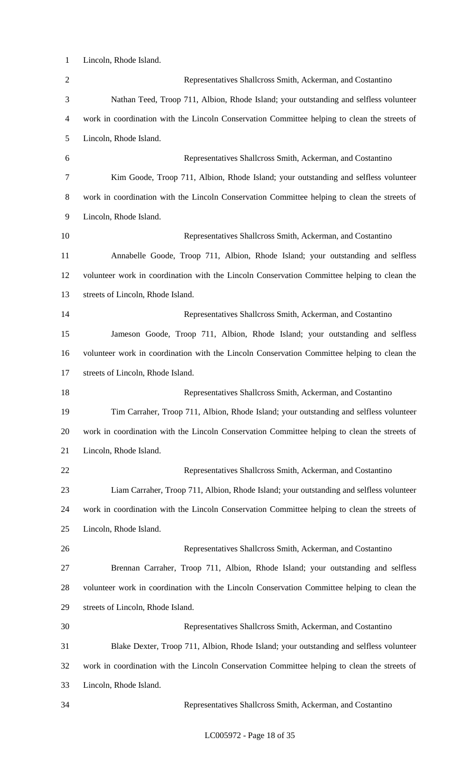Lincoln, Rhode Island.

| $\overline{2}$ | Representatives Shallcross Smith, Ackerman, and Costantino                                   |
|----------------|----------------------------------------------------------------------------------------------|
| 3              | Nathan Teed, Troop 711, Albion, Rhode Island; your outstanding and selfless volunteer        |
| $\overline{4}$ | work in coordination with the Lincoln Conservation Committee helping to clean the streets of |
| 5              | Lincoln, Rhode Island.                                                                       |
| 6              | Representatives Shallcross Smith, Ackerman, and Costantino                                   |
| $\tau$         | Kim Goode, Troop 711, Albion, Rhode Island; your outstanding and selfless volunteer          |
| $8\,$          | work in coordination with the Lincoln Conservation Committee helping to clean the streets of |
| 9              | Lincoln, Rhode Island.                                                                       |
| 10             | Representatives Shallcross Smith, Ackerman, and Costantino                                   |
| 11             | Annabelle Goode, Troop 711, Albion, Rhode Island; your outstanding and selfless              |
| 12             | volunteer work in coordination with the Lincoln Conservation Committee helping to clean the  |
| 13             | streets of Lincoln, Rhode Island.                                                            |
| 14             | Representatives Shallcross Smith, Ackerman, and Costantino                                   |
| 15             | Jameson Goode, Troop 711, Albion, Rhode Island; your outstanding and selfless                |
| 16             | volunteer work in coordination with the Lincoln Conservation Committee helping to clean the  |
| 17             | streets of Lincoln, Rhode Island.                                                            |
| 18             | Representatives Shallcross Smith, Ackerman, and Costantino                                   |
| 19             | Tim Carraher, Troop 711, Albion, Rhode Island; your outstanding and selfless volunteer       |
| 20             | work in coordination with the Lincoln Conservation Committee helping to clean the streets of |
| 21             | Lincoln, Rhode Island.                                                                       |
| 22             | Representatives Shallcross Smith, Ackerman, and Costantino                                   |
| 23             | Liam Carraher, Troop 711, Albion, Rhode Island; your outstanding and selfless volunteer      |
| 24             | work in coordination with the Lincoln Conservation Committee helping to clean the streets of |
| 25             | Lincoln, Rhode Island.                                                                       |
| 26             | Representatives Shallcross Smith, Ackerman, and Costantino                                   |
| 27             | Brennan Carraher, Troop 711, Albion, Rhode Island; your outstanding and selfless             |
| 28             | volunteer work in coordination with the Lincoln Conservation Committee helping to clean the  |
| 29             | streets of Lincoln, Rhode Island.                                                            |
| 30             | Representatives Shallcross Smith, Ackerman, and Costantino                                   |
| 31             | Blake Dexter, Troop 711, Albion, Rhode Island; your outstanding and selfless volunteer       |
| 32             | work in coordination with the Lincoln Conservation Committee helping to clean the streets of |
| 33             | Lincoln, Rhode Island.                                                                       |
| 34             | Representatives Shallcross Smith, Ackerman, and Costantino                                   |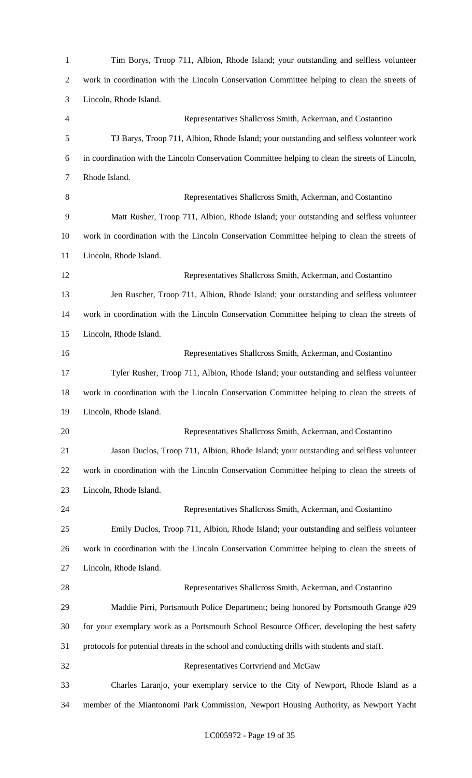| Tim Borys, Troop 711, Albion, Rhode Island; your outstanding and selfless volunteer              |
|--------------------------------------------------------------------------------------------------|
| work in coordination with the Lincoln Conservation Committee helping to clean the streets of     |
| Lincoln, Rhode Island.                                                                           |
| Representatives Shallcross Smith, Ackerman, and Costantino                                       |
| TJ Barys, Troop 711, Albion, Rhode Island; your outstanding and selfless volunteer work          |
| in coordination with the Lincoln Conservation Committee helping to clean the streets of Lincoln, |
| Rhode Island.                                                                                    |
| Representatives Shallcross Smith, Ackerman, and Costantino                                       |
| Matt Rusher, Troop 711, Albion, Rhode Island; your outstanding and selfless volunteer            |
| work in coordination with the Lincoln Conservation Committee helping to clean the streets of     |
| Lincoln, Rhode Island.                                                                           |
| Representatives Shallcross Smith, Ackerman, and Costantino                                       |
| Jen Ruscher, Troop 711, Albion, Rhode Island; your outstanding and selfless volunteer            |
| work in coordination with the Lincoln Conservation Committee helping to clean the streets of     |
| Lincoln, Rhode Island.                                                                           |
| Representatives Shallcross Smith, Ackerman, and Costantino                                       |
| Tyler Rusher, Troop 711, Albion, Rhode Island; your outstanding and selfless volunteer           |
| work in coordination with the Lincoln Conservation Committee helping to clean the streets of     |
| Lincoln, Rhode Island.                                                                           |
| Representatives Shallcross Smith, Ackerman, and Costantino                                       |
| Jason Duclos, Troop 711, Albion, Rhode Island; your outstanding and selfless volunteer           |
| work in coordination with the Lincoln Conservation Committee helping to clean the streets of     |
| Lincoln, Rhode Island.                                                                           |
| Representatives Shallcross Smith, Ackerman, and Costantino                                       |
| Emily Duclos, Troop 711, Albion, Rhode Island; your outstanding and selfless volunteer           |
| work in coordination with the Lincoln Conservation Committee helping to clean the streets of     |
| Lincoln, Rhode Island.                                                                           |
| Representatives Shallcross Smith, Ackerman, and Costantino                                       |
| Maddie Pirri, Portsmouth Police Department; being honored by Portsmouth Grange #29               |
| for your exemplary work as a Portsmouth School Resource Officer, developing the best safety      |
| protocols for potential threats in the school and conducting drills with students and staff.     |
| Representatives Cortvriend and McGaw                                                             |
| Charles Laranjo, your exemplary service to the City of Newport, Rhode Island as a                |
| member of the Miantonomi Park Commission, Newport Housing Authority, as Newport Yacht            |
|                                                                                                  |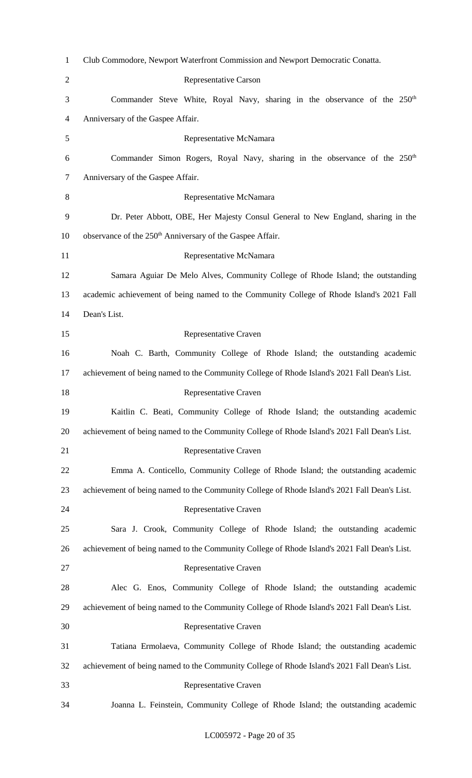| $\mathbf{1}$   | Club Commodore, Newport Waterfront Commission and Newport Democratic Conatta.                |
|----------------|----------------------------------------------------------------------------------------------|
| $\overline{2}$ | Representative Carson                                                                        |
| 3              | Commander Steve White, Royal Navy, sharing in the observance of the 250 <sup>th</sup>        |
| $\overline{4}$ | Anniversary of the Gaspee Affair.                                                            |
| 5              | Representative McNamara                                                                      |
| 6              | Commander Simon Rogers, Royal Navy, sharing in the observance of the 250 <sup>th</sup>       |
| 7              | Anniversary of the Gaspee Affair.                                                            |
| 8              | Representative McNamara                                                                      |
| 9              | Dr. Peter Abbott, OBE, Her Majesty Consul General to New England, sharing in the             |
| 10             | observance of the 250 <sup>th</sup> Anniversary of the Gaspee Affair.                        |
| 11             | Representative McNamara                                                                      |
| 12             | Samara Aguiar De Melo Alves, Community College of Rhode Island; the outstanding              |
| 13             | academic achievement of being named to the Community College of Rhode Island's 2021 Fall     |
| 14             | Dean's List.                                                                                 |
| 15             | Representative Craven                                                                        |
| 16             | Noah C. Barth, Community College of Rhode Island; the outstanding academic                   |
| 17             | achievement of being named to the Community College of Rhode Island's 2021 Fall Dean's List. |
| 18             | Representative Craven                                                                        |
| 19             | Kaitlin C. Beati, Community College of Rhode Island; the outstanding academic                |
| 20             | achievement of being named to the Community College of Rhode Island's 2021 Fall Dean's List. |
| 21             | Representative Craven                                                                        |
| 22             | Emma A. Conticello, Community College of Rhode Island; the outstanding academic              |
| 23             | achievement of being named to the Community College of Rhode Island's 2021 Fall Dean's List. |
| 24             | Representative Craven                                                                        |
| 25             | Sara J. Crook, Community College of Rhode Island; the outstanding academic                   |
| 26             | achievement of being named to the Community College of Rhode Island's 2021 Fall Dean's List. |
| 27             | Representative Craven                                                                        |
| 28             | Alec G. Enos, Community College of Rhode Island; the outstanding academic                    |
| 29             | achievement of being named to the Community College of Rhode Island's 2021 Fall Dean's List. |
| 30             | Representative Craven                                                                        |
| 31             | Tatiana Ermolaeva, Community College of Rhode Island; the outstanding academic               |
| 32             | achievement of being named to the Community College of Rhode Island's 2021 Fall Dean's List. |
| 33             | Representative Craven                                                                        |
| 34             | Joanna L. Feinstein, Community College of Rhode Island; the outstanding academic             |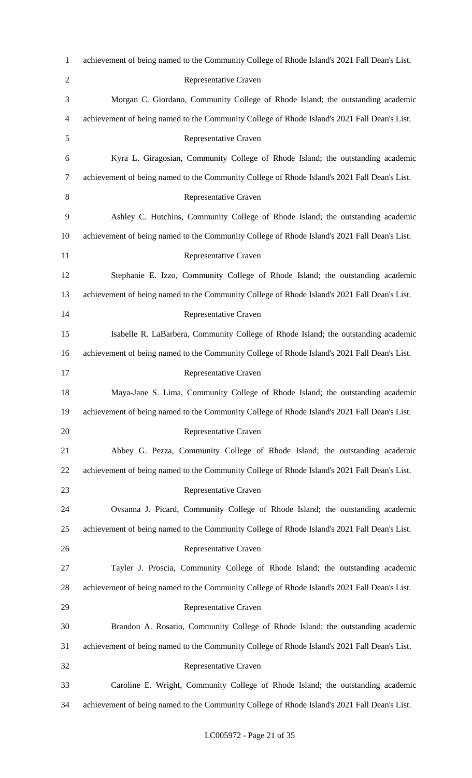| $\mathbf{1}$   | achievement of being named to the Community College of Rhode Island's 2021 Fall Dean's List. |
|----------------|----------------------------------------------------------------------------------------------|
| $\overline{2}$ | Representative Craven                                                                        |
| 3              | Morgan C. Giordano, Community College of Rhode Island; the outstanding academic              |
| 4              | achievement of being named to the Community College of Rhode Island's 2021 Fall Dean's List. |
| 5              | Representative Craven                                                                        |
| 6              | Kyra L. Giragosian, Community College of Rhode Island; the outstanding academic              |
| 7              | achievement of being named to the Community College of Rhode Island's 2021 Fall Dean's List. |
| 8              | Representative Craven                                                                        |
| 9              | Ashley C. Hutchins, Community College of Rhode Island; the outstanding academic              |
| 10             | achievement of being named to the Community College of Rhode Island's 2021 Fall Dean's List. |
| 11             | Representative Craven                                                                        |
| 12             | Stephanie E. Izzo, Community College of Rhode Island; the outstanding academic               |
| 13             | achievement of being named to the Community College of Rhode Island's 2021 Fall Dean's List. |
| 14             | Representative Craven                                                                        |
| 15             | Isabelle R. LaBarbera, Community College of Rhode Island; the outstanding academic           |
| 16             | achievement of being named to the Community College of Rhode Island's 2021 Fall Dean's List. |
| 17             | Representative Craven                                                                        |
| 18             | Maya-Jane S. Lima, Community College of Rhode Island; the outstanding academic               |
| 19             | achievement of being named to the Community College of Rhode Island's 2021 Fall Dean's List. |
| 20             | Representative Craven                                                                        |
| 21             | Abbey G. Pezza, Community College of Rhode Island; the outstanding academic                  |
| 22             | achievement of being named to the Community College of Rhode Island's 2021 Fall Dean's List. |
| 23             | Representative Craven                                                                        |
| 24             | Ovsanna J. Picard, Community College of Rhode Island; the outstanding academic               |
| 25             | achievement of being named to the Community College of Rhode Island's 2021 Fall Dean's List. |
| 26             | Representative Craven                                                                        |
| 27             | Tayler J. Proscia, Community College of Rhode Island; the outstanding academic               |
| 28             | achievement of being named to the Community College of Rhode Island's 2021 Fall Dean's List. |
| 29             | Representative Craven                                                                        |
| 30             | Brandon A. Rosario, Community College of Rhode Island; the outstanding academic              |
| 31             | achievement of being named to the Community College of Rhode Island's 2021 Fall Dean's List. |
| 32             | Representative Craven                                                                        |
| 33             | Caroline E. Wright, Community College of Rhode Island; the outstanding academic              |
| 34             | achievement of being named to the Community College of Rhode Island's 2021 Fall Dean's List. |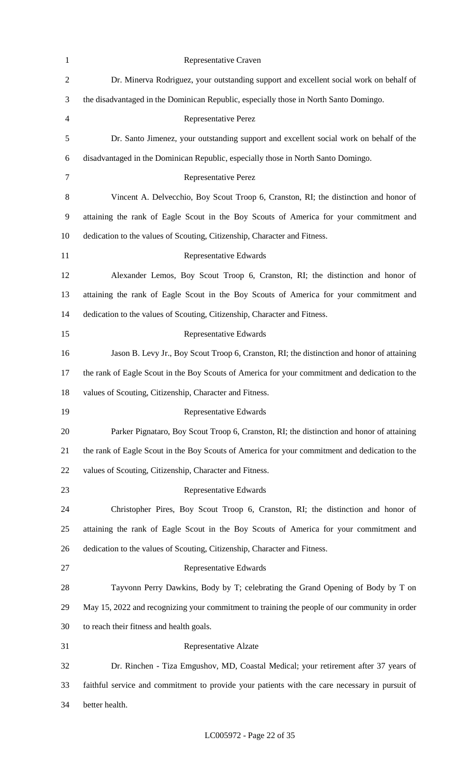| $\mathbf{1}$   | Representative Craven                                                                          |
|----------------|------------------------------------------------------------------------------------------------|
| $\mathbf{2}$   | Dr. Minerva Rodriguez, your outstanding support and excellent social work on behalf of         |
| 3              | the disadvantaged in the Dominican Republic, especially those in North Santo Domingo.          |
| $\overline{4}$ | <b>Representative Perez</b>                                                                    |
| $\mathfrak s$  | Dr. Santo Jimenez, your outstanding support and excellent social work on behalf of the         |
| 6              | disadvantaged in the Dominican Republic, especially those in North Santo Domingo.              |
| $\tau$         | <b>Representative Perez</b>                                                                    |
| $8\,$          | Vincent A. Delvecchio, Boy Scout Troop 6, Cranston, RI; the distinction and honor of           |
| 9              | attaining the rank of Eagle Scout in the Boy Scouts of America for your commitment and         |
| 10             | dedication to the values of Scouting, Citizenship, Character and Fitness.                      |
| 11             | Representative Edwards                                                                         |
| 12             | Alexander Lemos, Boy Scout Troop 6, Cranston, RI; the distinction and honor of                 |
| 13             | attaining the rank of Eagle Scout in the Boy Scouts of America for your commitment and         |
| 14             | dedication to the values of Scouting, Citizenship, Character and Fitness.                      |
| 15             | Representative Edwards                                                                         |
| 16             | Jason B. Levy Jr., Boy Scout Troop 6, Cranston, RI; the distinction and honor of attaining     |
| 17             | the rank of Eagle Scout in the Boy Scouts of America for your commitment and dedication to the |
| 18             | values of Scouting, Citizenship, Character and Fitness.                                        |
| 19             | Representative Edwards                                                                         |
| 20             | Parker Pignataro, Boy Scout Troop 6, Cranston, RI; the distinction and honor of attaining      |
| 21             | the rank of Eagle Scout in the Boy Scouts of America for your commitment and dedication to the |
| 22             | values of Scouting, Citizenship, Character and Fitness.                                        |
| 23             | Representative Edwards                                                                         |
| 24             | Christopher Pires, Boy Scout Troop 6, Cranston, RI; the distinction and honor of               |
| 25             | attaining the rank of Eagle Scout in the Boy Scouts of America for your commitment and         |
| 26             | dedication to the values of Scouting, Citizenship, Character and Fitness.                      |
| 27             | Representative Edwards                                                                         |
| 28             | Tayvonn Perry Dawkins, Body by T; celebrating the Grand Opening of Body by T on                |
| 29             | May 15, 2022 and recognizing your commitment to training the people of our community in order  |
| 30             | to reach their fitness and health goals.                                                       |
| 31             | Representative Alzate                                                                          |
| 32             | Dr. Rinchen - Tiza Emgushov, MD, Coastal Medical; your retirement after 37 years of            |
| 33             | faithful service and commitment to provide your patients with the care necessary in pursuit of |
| 34             | better health.                                                                                 |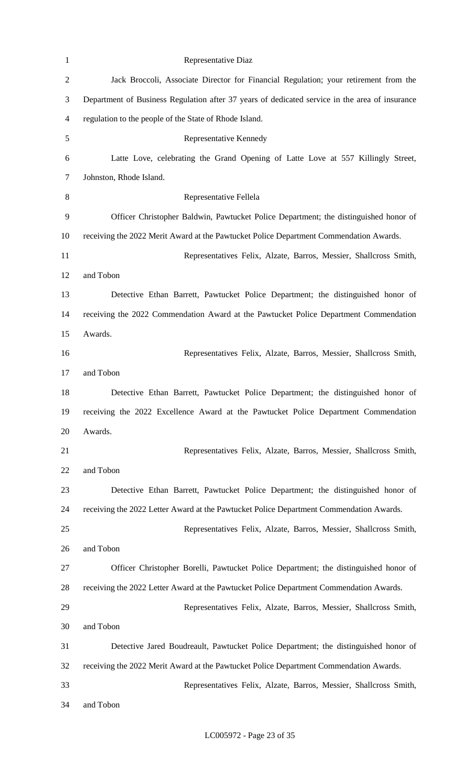| $\mathbf{1}$   | Representative Diaz                                                                            |
|----------------|------------------------------------------------------------------------------------------------|
| $\overline{c}$ | Jack Broccoli, Associate Director for Financial Regulation; your retirement from the           |
| 3              | Department of Business Regulation after 37 years of dedicated service in the area of insurance |
| 4              | regulation to the people of the State of Rhode Island.                                         |
| 5              | Representative Kennedy                                                                         |
| 6              | Latte Love, celebrating the Grand Opening of Latte Love at 557 Killingly Street,               |
| 7              | Johnston, Rhode Island.                                                                        |
| 8              | Representative Fellela                                                                         |
| 9              | Officer Christopher Baldwin, Pawtucket Police Department; the distinguished honor of           |
| 10             | receiving the 2022 Merit Award at the Pawtucket Police Department Commendation Awards.         |
| 11             | Representatives Felix, Alzate, Barros, Messier, Shallcross Smith,                              |
| 12             | and Tobon                                                                                      |
| 13             | Detective Ethan Barrett, Pawtucket Police Department; the distinguished honor of               |
| 14             | receiving the 2022 Commendation Award at the Pawtucket Police Department Commendation          |
| 15             | Awards.                                                                                        |
| 16             | Representatives Felix, Alzate, Barros, Messier, Shallcross Smith,                              |
| 17             | and Tobon                                                                                      |
| 18             | Detective Ethan Barrett, Pawtucket Police Department; the distinguished honor of               |
| 19             | receiving the 2022 Excellence Award at the Pawtucket Police Department Commendation            |
| 20             | Awards.                                                                                        |
| 21             | Representatives Felix, Alzate, Barros, Messier, Shallcross Smith,                              |
| 22             | and Tobon                                                                                      |
| 23             | Detective Ethan Barrett, Pawtucket Police Department; the distinguished honor of               |
| 24             | receiving the 2022 Letter Award at the Pawtucket Police Department Commendation Awards.        |
| 25             | Representatives Felix, Alzate, Barros, Messier, Shallcross Smith,                              |
| 26             | and Tobon                                                                                      |
| 27             | Officer Christopher Borelli, Pawtucket Police Department; the distinguished honor of           |
| 28             | receiving the 2022 Letter Award at the Pawtucket Police Department Commendation Awards.        |
| 29             | Representatives Felix, Alzate, Barros, Messier, Shallcross Smith,                              |
| 30             | and Tobon                                                                                      |
| 31             | Detective Jared Boudreault, Pawtucket Police Department; the distinguished honor of            |
| 32             | receiving the 2022 Merit Award at the Pawtucket Police Department Commendation Awards.         |
| 33             | Representatives Felix, Alzate, Barros, Messier, Shallcross Smith,                              |
| 34             | and Tobon                                                                                      |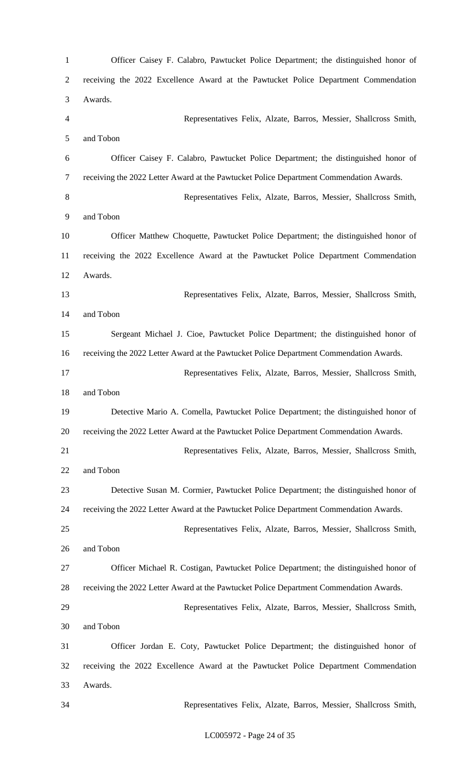| $\mathbf{1}$   | Officer Caisey F. Calabro, Pawtucket Police Department; the distinguished honor of      |
|----------------|-----------------------------------------------------------------------------------------|
| $\overline{2}$ | receiving the 2022 Excellence Award at the Pawtucket Police Department Commendation     |
| 3              | Awards.                                                                                 |
| $\overline{4}$ | Representatives Felix, Alzate, Barros, Messier, Shallcross Smith,                       |
| 5              | and Tobon                                                                               |
| 6              | Officer Caisey F. Calabro, Pawtucket Police Department; the distinguished honor of      |
| 7              | receiving the 2022 Letter Award at the Pawtucket Police Department Commendation Awards. |
| $8\,$          | Representatives Felix, Alzate, Barros, Messier, Shallcross Smith,                       |
| 9              | and Tobon                                                                               |
| 10             | Officer Matthew Choquette, Pawtucket Police Department; the distinguished honor of      |
| 11             | receiving the 2022 Excellence Award at the Pawtucket Police Department Commendation     |
| 12             | Awards.                                                                                 |
| 13             | Representatives Felix, Alzate, Barros, Messier, Shallcross Smith,                       |
| 14             | and Tobon                                                                               |
| 15             | Sergeant Michael J. Cioe, Pawtucket Police Department; the distinguished honor of       |
| 16             | receiving the 2022 Letter Award at the Pawtucket Police Department Commendation Awards. |
| 17             | Representatives Felix, Alzate, Barros, Messier, Shallcross Smith,                       |
| 18             | and Tobon                                                                               |
| 19             | Detective Mario A. Comella, Pawtucket Police Department; the distinguished honor of     |
| 20             | receiving the 2022 Letter Award at the Pawtucket Police Department Commendation Awards. |
| 21             | Representatives Felix, Alzate, Barros, Messier, Shallcross Smith,                       |
| 22             | and Tobon                                                                               |
| 23             | Detective Susan M. Cormier, Pawtucket Police Department; the distinguished honor of     |
| 24             | receiving the 2022 Letter Award at the Pawtucket Police Department Commendation Awards. |
| 25             | Representatives Felix, Alzate, Barros, Messier, Shallcross Smith,                       |
| 26             | and Tobon                                                                               |
| 27             | Officer Michael R. Costigan, Pawtucket Police Department; the distinguished honor of    |
| 28             | receiving the 2022 Letter Award at the Pawtucket Police Department Commendation Awards. |
| 29             | Representatives Felix, Alzate, Barros, Messier, Shallcross Smith,                       |
| 30             | and Tobon                                                                               |
| 31             | Officer Jordan E. Coty, Pawtucket Police Department; the distinguished honor of         |
| 32             | receiving the 2022 Excellence Award at the Pawtucket Police Department Commendation     |
| 33             | Awards.                                                                                 |
| 34             | Representatives Felix, Alzate, Barros, Messier, Shallcross Smith,                       |
|                |                                                                                         |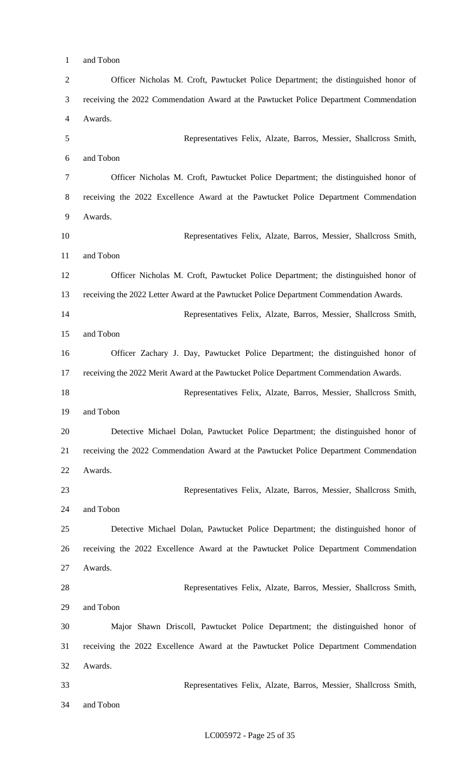and Tobon Officer Nicholas M. Croft, Pawtucket Police Department; the distinguished honor of receiving the 2022 Commendation Award at the Pawtucket Police Department Commendation Awards. Representatives Felix, Alzate, Barros, Messier, Shallcross Smith, and Tobon Officer Nicholas M. Croft, Pawtucket Police Department; the distinguished honor of receiving the 2022 Excellence Award at the Pawtucket Police Department Commendation Awards. Representatives Felix, Alzate, Barros, Messier, Shallcross Smith, and Tobon Officer Nicholas M. Croft, Pawtucket Police Department; the distinguished honor of receiving the 2022 Letter Award at the Pawtucket Police Department Commendation Awards. Representatives Felix, Alzate, Barros, Messier, Shallcross Smith, and Tobon Officer Zachary J. Day, Pawtucket Police Department; the distinguished honor of receiving the 2022 Merit Award at the Pawtucket Police Department Commendation Awards. Representatives Felix, Alzate, Barros, Messier, Shallcross Smith, and Tobon Detective Michael Dolan, Pawtucket Police Department; the distinguished honor of receiving the 2022 Commendation Award at the Pawtucket Police Department Commendation Awards. Representatives Felix, Alzate, Barros, Messier, Shallcross Smith, and Tobon Detective Michael Dolan, Pawtucket Police Department; the distinguished honor of receiving the 2022 Excellence Award at the Pawtucket Police Department Commendation Awards. Representatives Felix, Alzate, Barros, Messier, Shallcross Smith, and Tobon Major Shawn Driscoll, Pawtucket Police Department; the distinguished honor of receiving the 2022 Excellence Award at the Pawtucket Police Department Commendation Awards. Representatives Felix, Alzate, Barros, Messier, Shallcross Smith,

and Tobon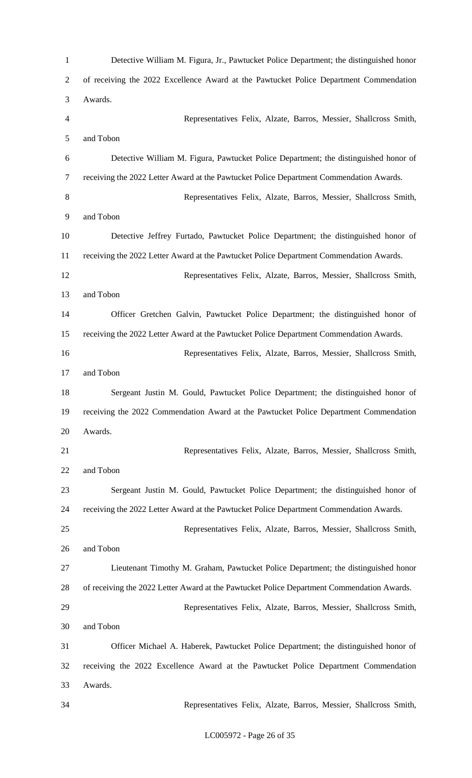Detective William M. Figura, Jr., Pawtucket Police Department; the distinguished honor of receiving the 2022 Excellence Award at the Pawtucket Police Department Commendation Awards. Representatives Felix, Alzate, Barros, Messier, Shallcross Smith, and Tobon Detective William M. Figura, Pawtucket Police Department; the distinguished honor of receiving the 2022 Letter Award at the Pawtucket Police Department Commendation Awards. Representatives Felix, Alzate, Barros, Messier, Shallcross Smith, and Tobon Detective Jeffrey Furtado, Pawtucket Police Department; the distinguished honor of receiving the 2022 Letter Award at the Pawtucket Police Department Commendation Awards. Representatives Felix, Alzate, Barros, Messier, Shallcross Smith, and Tobon Officer Gretchen Galvin, Pawtucket Police Department; the distinguished honor of receiving the 2022 Letter Award at the Pawtucket Police Department Commendation Awards. Representatives Felix, Alzate, Barros, Messier, Shallcross Smith, and Tobon Sergeant Justin M. Gould, Pawtucket Police Department; the distinguished honor of receiving the 2022 Commendation Award at the Pawtucket Police Department Commendation Awards. Representatives Felix, Alzate, Barros, Messier, Shallcross Smith, and Tobon Sergeant Justin M. Gould, Pawtucket Police Department; the distinguished honor of receiving the 2022 Letter Award at the Pawtucket Police Department Commendation Awards. Representatives Felix, Alzate, Barros, Messier, Shallcross Smith, and Tobon Lieutenant Timothy M. Graham, Pawtucket Police Department; the distinguished honor of receiving the 2022 Letter Award at the Pawtucket Police Department Commendation Awards. Representatives Felix, Alzate, Barros, Messier, Shallcross Smith, and Tobon Officer Michael A. Haberek, Pawtucket Police Department; the distinguished honor of receiving the 2022 Excellence Award at the Pawtucket Police Department Commendation Awards. Representatives Felix, Alzate, Barros, Messier, Shallcross Smith,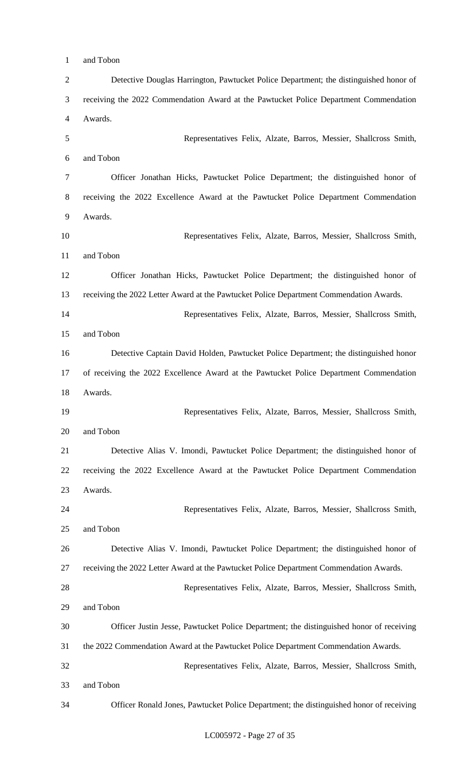Detective Douglas Harrington, Pawtucket Police Department; the distinguished honor of receiving the 2022 Commendation Award at the Pawtucket Police Department Commendation Awards. Representatives Felix, Alzate, Barros, Messier, Shallcross Smith, and Tobon Officer Jonathan Hicks, Pawtucket Police Department; the distinguished honor of receiving the 2022 Excellence Award at the Pawtucket Police Department Commendation Awards. Representatives Felix, Alzate, Barros, Messier, Shallcross Smith, and Tobon Officer Jonathan Hicks, Pawtucket Police Department; the distinguished honor of receiving the 2022 Letter Award at the Pawtucket Police Department Commendation Awards. Representatives Felix, Alzate, Barros, Messier, Shallcross Smith, and Tobon Detective Captain David Holden, Pawtucket Police Department; the distinguished honor of receiving the 2022 Excellence Award at the Pawtucket Police Department Commendation Awards. Representatives Felix, Alzate, Barros, Messier, Shallcross Smith, and Tobon Detective Alias V. Imondi, Pawtucket Police Department; the distinguished honor of receiving the 2022 Excellence Award at the Pawtucket Police Department Commendation Awards. Representatives Felix, Alzate, Barros, Messier, Shallcross Smith, and Tobon Detective Alias V. Imondi, Pawtucket Police Department; the distinguished honor of receiving the 2022 Letter Award at the Pawtucket Police Department Commendation Awards. Representatives Felix, Alzate, Barros, Messier, Shallcross Smith, and Tobon Officer Justin Jesse, Pawtucket Police Department; the distinguished honor of receiving the 2022 Commendation Award at the Pawtucket Police Department Commendation Awards. Representatives Felix, Alzate, Barros, Messier, Shallcross Smith, and Tobon

and Tobon

LC005972 - Page 27 of 35

Officer Ronald Jones, Pawtucket Police Department; the distinguished honor of receiving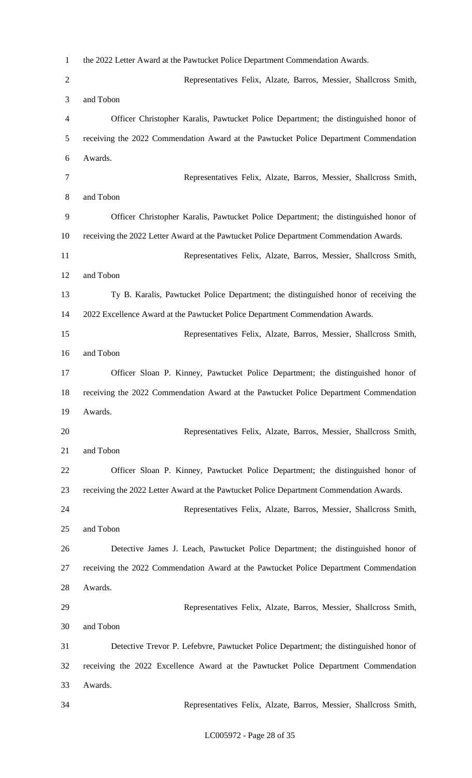| $\mathbf{1}$   | the 2022 Letter Award at the Pawtucket Police Department Commendation Awards.           |
|----------------|-----------------------------------------------------------------------------------------|
| $\overline{2}$ | Representatives Felix, Alzate, Barros, Messier, Shallcross Smith,                       |
| 3              | and Tobon                                                                               |
| 4              | Officer Christopher Karalis, Pawtucket Police Department; the distinguished honor of    |
| 5              | receiving the 2022 Commendation Award at the Pawtucket Police Department Commendation   |
| 6              | Awards.                                                                                 |
| 7              | Representatives Felix, Alzate, Barros, Messier, Shallcross Smith,                       |
| 8              | and Tobon                                                                               |
| 9              | Officer Christopher Karalis, Pawtucket Police Department; the distinguished honor of    |
| 10             | receiving the 2022 Letter Award at the Pawtucket Police Department Commendation Awards. |
| 11             | Representatives Felix, Alzate, Barros, Messier, Shallcross Smith,                       |
| 12             | and Tobon                                                                               |
| 13             | Ty B. Karalis, Pawtucket Police Department; the distinguished honor of receiving the    |
| 14             | 2022 Excellence Award at the Pawtucket Police Department Commendation Awards.           |
| 15             | Representatives Felix, Alzate, Barros, Messier, Shallcross Smith,                       |
| 16             | and Tobon                                                                               |
| 17             | Officer Sloan P. Kinney, Pawtucket Police Department; the distinguished honor of        |
| 18             | receiving the 2022 Commendation Award at the Pawtucket Police Department Commendation   |
| 19             | Awards.                                                                                 |
| 20             | Representatives Felix, Alzate, Barros, Messier, Shallcross Smith,                       |
| 21             | and Tobon                                                                               |
| 22             | Officer Sloan P. Kinney, Pawtucket Police Department; the distinguished honor of        |
| 23             | receiving the 2022 Letter Award at the Pawtucket Police Department Commendation Awards. |
| 24             | Representatives Felix, Alzate, Barros, Messier, Shallcross Smith,                       |
| 25             | and Tobon                                                                               |
| 26             | Detective James J. Leach, Pawtucket Police Department; the distinguished honor of       |
| 27             | receiving the 2022 Commendation Award at the Pawtucket Police Department Commendation   |
| 28             | Awards.                                                                                 |
| 29             | Representatives Felix, Alzate, Barros, Messier, Shallcross Smith,                       |
| 30             | and Tobon                                                                               |
| 31             | Detective Trevor P. Lefebvre, Pawtucket Police Department; the distinguished honor of   |
| 32             | receiving the 2022 Excellence Award at the Pawtucket Police Department Commendation     |
| 33             | Awards.                                                                                 |
| 34             | Representatives Felix, Alzate, Barros, Messier, Shallcross Smith,                       |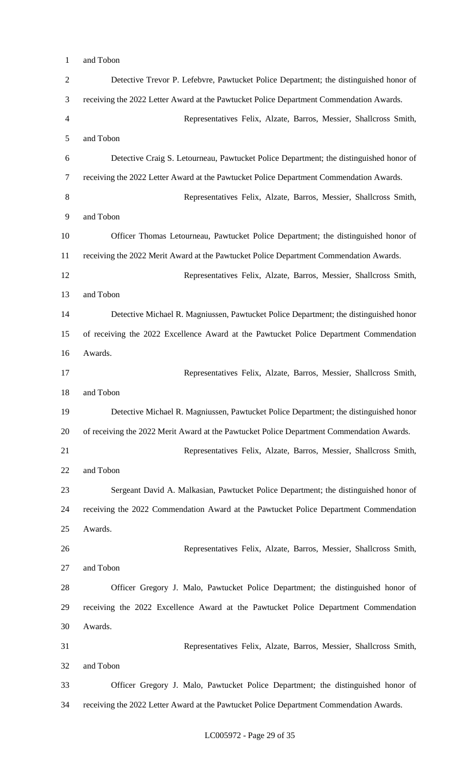and Tobon

| $\overline{2}$ | Detective Trevor P. Lefebvre, Pawtucket Police Department; the distinguished honor of     |
|----------------|-------------------------------------------------------------------------------------------|
| 3              | receiving the 2022 Letter Award at the Pawtucket Police Department Commendation Awards.   |
| 4              | Representatives Felix, Alzate, Barros, Messier, Shallcross Smith,                         |
| 5              | and Tobon                                                                                 |
| 6              | Detective Craig S. Letourneau, Pawtucket Police Department; the distinguished honor of    |
| 7              | receiving the 2022 Letter Award at the Pawtucket Police Department Commendation Awards.   |
| 8              | Representatives Felix, Alzate, Barros, Messier, Shallcross Smith,                         |
| 9              | and Tobon                                                                                 |
| 10             | Officer Thomas Letourneau, Pawtucket Police Department; the distinguished honor of        |
| 11             | receiving the 2022 Merit Award at the Pawtucket Police Department Commendation Awards.    |
| 12             | Representatives Felix, Alzate, Barros, Messier, Shallcross Smith,                         |
| 13             | and Tobon                                                                                 |
| 14             | Detective Michael R. Magniussen, Pawtucket Police Department; the distinguished honor     |
| 15             | of receiving the 2022 Excellence Award at the Pawtucket Police Department Commendation    |
| 16             | Awards.                                                                                   |
| 17             | Representatives Felix, Alzate, Barros, Messier, Shallcross Smith,                         |
| 18             | and Tobon                                                                                 |
| 19             | Detective Michael R. Magniussen, Pawtucket Police Department; the distinguished honor     |
| 20             | of receiving the 2022 Merit Award at the Pawtucket Police Department Commendation Awards. |
| 21             | Representatives Felix, Alzate, Barros, Messier, Shallcross Smith,                         |
| 22             | and Tobon                                                                                 |
| 23             | Sergeant David A. Malkasian, Pawtucket Police Department; the distinguished honor of      |
| 24             | receiving the 2022 Commendation Award at the Pawtucket Police Department Commendation     |
| 25             | Awards.                                                                                   |
| 26             | Representatives Felix, Alzate, Barros, Messier, Shallcross Smith,                         |
| 27             | and Tobon                                                                                 |
| 28             | Officer Gregory J. Malo, Pawtucket Police Department; the distinguished honor of          |
| 29             | receiving the 2022 Excellence Award at the Pawtucket Police Department Commendation       |
| 30             | Awards.                                                                                   |
| 31             | Representatives Felix, Alzate, Barros, Messier, Shallcross Smith,                         |
| 32             | and Tobon                                                                                 |
| 33             | Officer Gregory J. Malo, Pawtucket Police Department; the distinguished honor of          |
| 34             | receiving the 2022 Letter Award at the Pawtucket Police Department Commendation Awards.   |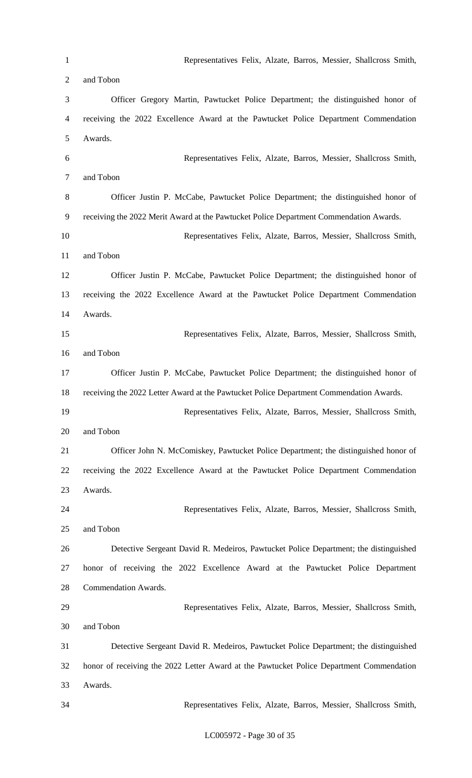Representatives Felix, Alzate, Barros, Messier, Shallcross Smith, and Tobon Officer Gregory Martin, Pawtucket Police Department; the distinguished honor of receiving the 2022 Excellence Award at the Pawtucket Police Department Commendation Awards. Representatives Felix, Alzate, Barros, Messier, Shallcross Smith, and Tobon Officer Justin P. McCabe, Pawtucket Police Department; the distinguished honor of receiving the 2022 Merit Award at the Pawtucket Police Department Commendation Awards. Representatives Felix, Alzate, Barros, Messier, Shallcross Smith, and Tobon Officer Justin P. McCabe, Pawtucket Police Department; the distinguished honor of receiving the 2022 Excellence Award at the Pawtucket Police Department Commendation Awards. Representatives Felix, Alzate, Barros, Messier, Shallcross Smith, and Tobon Officer Justin P. McCabe, Pawtucket Police Department; the distinguished honor of receiving the 2022 Letter Award at the Pawtucket Police Department Commendation Awards. Representatives Felix, Alzate, Barros, Messier, Shallcross Smith, and Tobon Officer John N. McComiskey, Pawtucket Police Department; the distinguished honor of receiving the 2022 Excellence Award at the Pawtucket Police Department Commendation Awards. Representatives Felix, Alzate, Barros, Messier, Shallcross Smith, and Tobon Detective Sergeant David R. Medeiros, Pawtucket Police Department; the distinguished honor of receiving the 2022 Excellence Award at the Pawtucket Police Department Commendation Awards. Representatives Felix, Alzate, Barros, Messier, Shallcross Smith, and Tobon Detective Sergeant David R. Medeiros, Pawtucket Police Department; the distinguished honor of receiving the 2022 Letter Award at the Pawtucket Police Department Commendation Awards. Representatives Felix, Alzate, Barros, Messier, Shallcross Smith,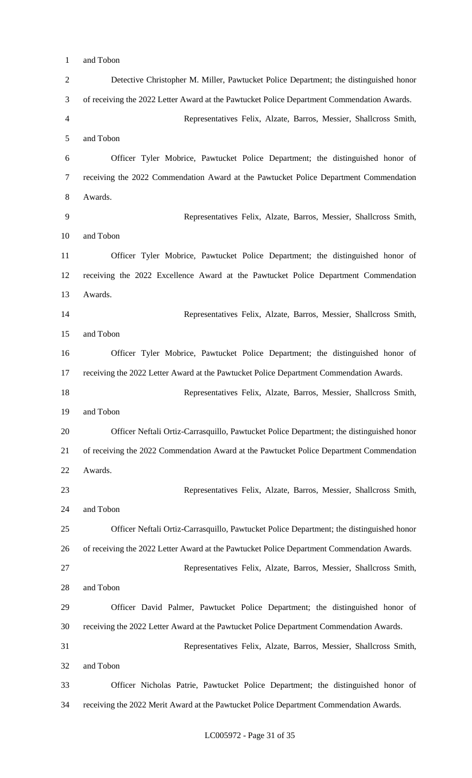and Tobon

| $\overline{2}$ | Detective Christopher M. Miller, Pawtucket Police Department; the distinguished honor      |
|----------------|--------------------------------------------------------------------------------------------|
| 3              | of receiving the 2022 Letter Award at the Pawtucket Police Department Commendation Awards. |
| $\overline{4}$ | Representatives Felix, Alzate, Barros, Messier, Shallcross Smith,                          |
| 5              | and Tobon                                                                                  |
| 6              | Officer Tyler Mobrice, Pawtucket Police Department; the distinguished honor of             |
| 7              | receiving the 2022 Commendation Award at the Pawtucket Police Department Commendation      |
| 8              | Awards.                                                                                    |
| 9              | Representatives Felix, Alzate, Barros, Messier, Shallcross Smith,                          |
| 10             | and Tobon                                                                                  |
| 11             | Officer Tyler Mobrice, Pawtucket Police Department; the distinguished honor of             |
| 12             | receiving the 2022 Excellence Award at the Pawtucket Police Department Commendation        |
| 13             | Awards.                                                                                    |
| 14             | Representatives Felix, Alzate, Barros, Messier, Shallcross Smith,                          |
| 15             | and Tobon                                                                                  |
| 16             | Officer Tyler Mobrice, Pawtucket Police Department; the distinguished honor of             |
| 17             | receiving the 2022 Letter Award at the Pawtucket Police Department Commendation Awards.    |
| 18             | Representatives Felix, Alzate, Barros, Messier, Shallcross Smith,                          |
| 19             | and Tobon                                                                                  |
| 20             | Officer Neftali Ortiz-Carrasquillo, Pawtucket Police Department; the distinguished honor   |
| 21             | of receiving the 2022 Commendation Award at the Pawtucket Police Department Commendation   |
| 22             | Awards.                                                                                    |
| 23             | Representatives Felix, Alzate, Barros, Messier, Shallcross Smith,                          |
| 24             | and Tobon                                                                                  |
| 25             | Officer Neftali Ortiz-Carrasquillo, Pawtucket Police Department; the distinguished honor   |
| 26             | of receiving the 2022 Letter Award at the Pawtucket Police Department Commendation Awards. |
| 27             | Representatives Felix, Alzate, Barros, Messier, Shallcross Smith,                          |
| 28             | and Tobon                                                                                  |
| 29             | Officer David Palmer, Pawtucket Police Department; the distinguished honor of              |
| 30             | receiving the 2022 Letter Award at the Pawtucket Police Department Commendation Awards.    |
| 31             | Representatives Felix, Alzate, Barros, Messier, Shallcross Smith,                          |
| 32             | and Tobon                                                                                  |
| 33             | Officer Nicholas Patrie, Pawtucket Police Department; the distinguished honor of           |
| 34             | receiving the 2022 Merit Award at the Pawtucket Police Department Commendation Awards.     |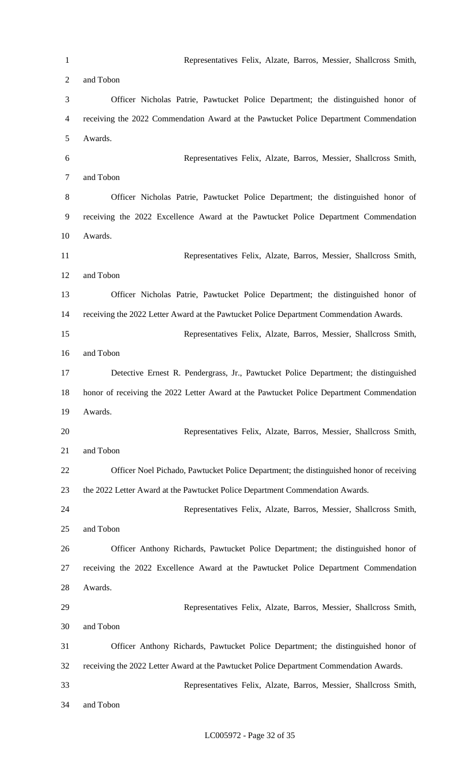Representatives Felix, Alzate, Barros, Messier, Shallcross Smith, and Tobon Officer Nicholas Patrie, Pawtucket Police Department; the distinguished honor of receiving the 2022 Commendation Award at the Pawtucket Police Department Commendation Awards. Representatives Felix, Alzate, Barros, Messier, Shallcross Smith, and Tobon Officer Nicholas Patrie, Pawtucket Police Department; the distinguished honor of receiving the 2022 Excellence Award at the Pawtucket Police Department Commendation Awards. Representatives Felix, Alzate, Barros, Messier, Shallcross Smith, and Tobon Officer Nicholas Patrie, Pawtucket Police Department; the distinguished honor of receiving the 2022 Letter Award at the Pawtucket Police Department Commendation Awards. Representatives Felix, Alzate, Barros, Messier, Shallcross Smith, and Tobon Detective Ernest R. Pendergrass, Jr., Pawtucket Police Department; the distinguished honor of receiving the 2022 Letter Award at the Pawtucket Police Department Commendation Awards. Representatives Felix, Alzate, Barros, Messier, Shallcross Smith, and Tobon Officer Noel Pichado, Pawtucket Police Department; the distinguished honor of receiving the 2022 Letter Award at the Pawtucket Police Department Commendation Awards. Representatives Felix, Alzate, Barros, Messier, Shallcross Smith, and Tobon Officer Anthony Richards, Pawtucket Police Department; the distinguished honor of receiving the 2022 Excellence Award at the Pawtucket Police Department Commendation Awards. Representatives Felix, Alzate, Barros, Messier, Shallcross Smith, and Tobon Officer Anthony Richards, Pawtucket Police Department; the distinguished honor of receiving the 2022 Letter Award at the Pawtucket Police Department Commendation Awards. Representatives Felix, Alzate, Barros, Messier, Shallcross Smith, and Tobon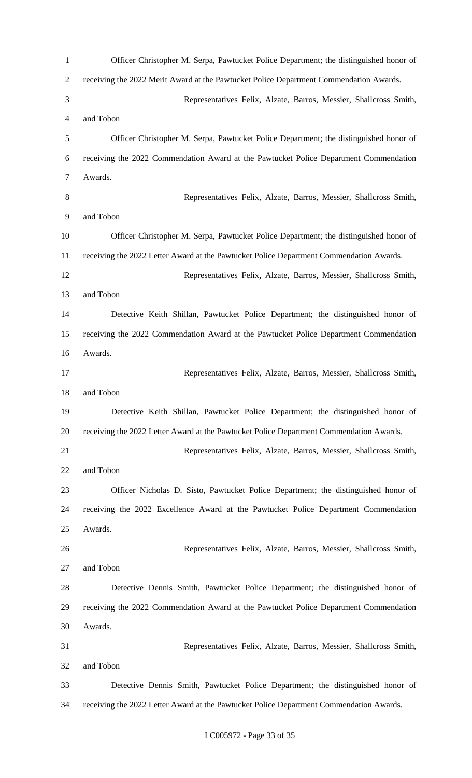Officer Christopher M. Serpa, Pawtucket Police Department; the distinguished honor of receiving the 2022 Merit Award at the Pawtucket Police Department Commendation Awards. Representatives Felix, Alzate, Barros, Messier, Shallcross Smith, and Tobon Officer Christopher M. Serpa, Pawtucket Police Department; the distinguished honor of receiving the 2022 Commendation Award at the Pawtucket Police Department Commendation Awards. Representatives Felix, Alzate, Barros, Messier, Shallcross Smith, and Tobon Officer Christopher M. Serpa, Pawtucket Police Department; the distinguished honor of receiving the 2022 Letter Award at the Pawtucket Police Department Commendation Awards. Representatives Felix, Alzate, Barros, Messier, Shallcross Smith, and Tobon Detective Keith Shillan, Pawtucket Police Department; the distinguished honor of receiving the 2022 Commendation Award at the Pawtucket Police Department Commendation Awards. Representatives Felix, Alzate, Barros, Messier, Shallcross Smith, and Tobon Detective Keith Shillan, Pawtucket Police Department; the distinguished honor of receiving the 2022 Letter Award at the Pawtucket Police Department Commendation Awards. Representatives Felix, Alzate, Barros, Messier, Shallcross Smith, and Tobon Officer Nicholas D. Sisto, Pawtucket Police Department; the distinguished honor of receiving the 2022 Excellence Award at the Pawtucket Police Department Commendation Awards. Representatives Felix, Alzate, Barros, Messier, Shallcross Smith, and Tobon Detective Dennis Smith, Pawtucket Police Department; the distinguished honor of receiving the 2022 Commendation Award at the Pawtucket Police Department Commendation Awards. Representatives Felix, Alzate, Barros, Messier, Shallcross Smith, and Tobon Detective Dennis Smith, Pawtucket Police Department; the distinguished honor of receiving the 2022 Letter Award at the Pawtucket Police Department Commendation Awards.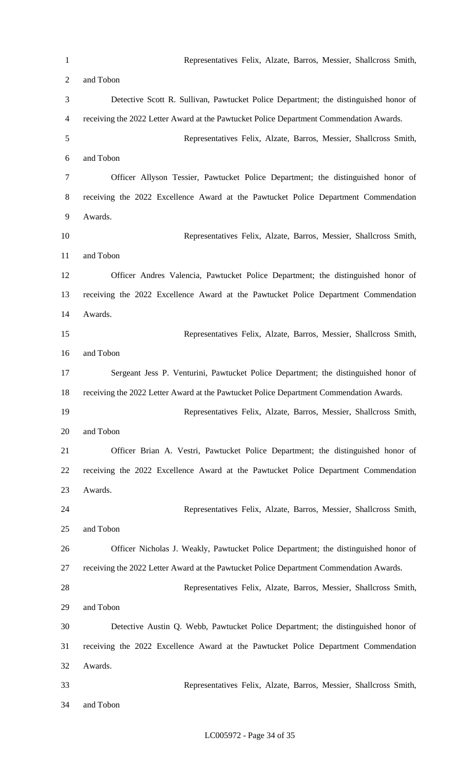Representatives Felix, Alzate, Barros, Messier, Shallcross Smith, and Tobon Detective Scott R. Sullivan, Pawtucket Police Department; the distinguished honor of receiving the 2022 Letter Award at the Pawtucket Police Department Commendation Awards. Representatives Felix, Alzate, Barros, Messier, Shallcross Smith, and Tobon Officer Allyson Tessier, Pawtucket Police Department; the distinguished honor of receiving the 2022 Excellence Award at the Pawtucket Police Department Commendation Awards. Representatives Felix, Alzate, Barros, Messier, Shallcross Smith, and Tobon Officer Andres Valencia, Pawtucket Police Department; the distinguished honor of receiving the 2022 Excellence Award at the Pawtucket Police Department Commendation Awards. Representatives Felix, Alzate, Barros, Messier, Shallcross Smith, and Tobon Sergeant Jess P. Venturini, Pawtucket Police Department; the distinguished honor of receiving the 2022 Letter Award at the Pawtucket Police Department Commendation Awards. Representatives Felix, Alzate, Barros, Messier, Shallcross Smith, and Tobon Officer Brian A. Vestri, Pawtucket Police Department; the distinguished honor of receiving the 2022 Excellence Award at the Pawtucket Police Department Commendation Awards. Representatives Felix, Alzate, Barros, Messier, Shallcross Smith, and Tobon Officer Nicholas J. Weakly, Pawtucket Police Department; the distinguished honor of receiving the 2022 Letter Award at the Pawtucket Police Department Commendation Awards. Representatives Felix, Alzate, Barros, Messier, Shallcross Smith, and Tobon Detective Austin Q. Webb, Pawtucket Police Department; the distinguished honor of receiving the 2022 Excellence Award at the Pawtucket Police Department Commendation Awards. Representatives Felix, Alzate, Barros, Messier, Shallcross Smith, and Tobon